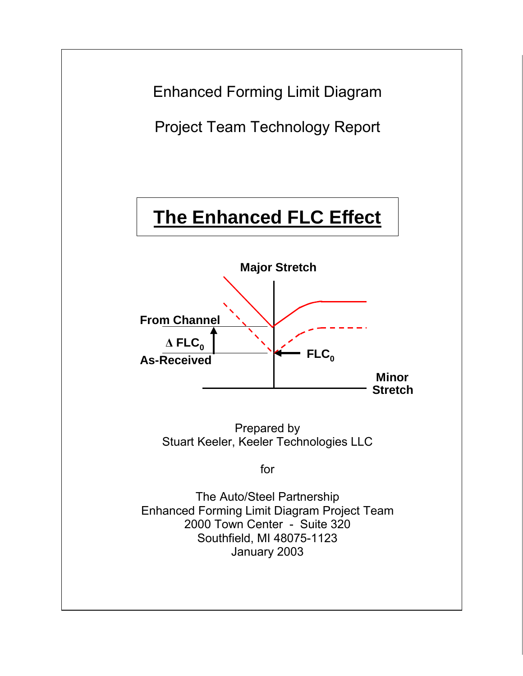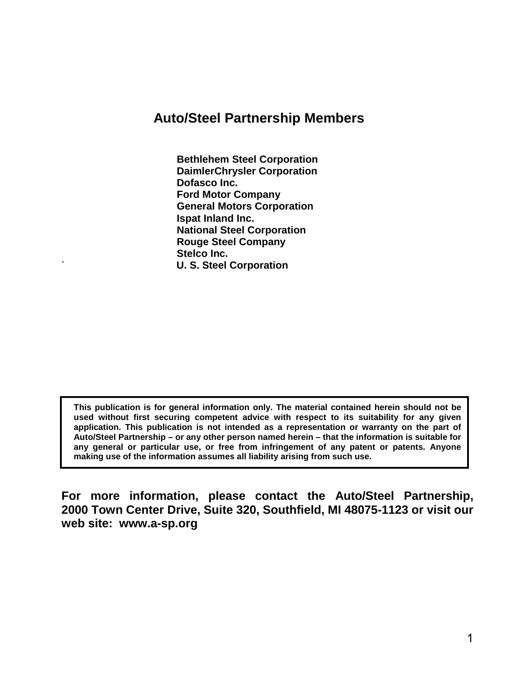### **Auto/Steel Partnership Members**

**Bethlehem Steel Corporation DaimlerChrysler Corporation Dofasco Inc. Ford Motor Company General Motors Corporation Ispat Inland Inc. National Steel Corporation Rouge Steel Company Stelco Inc.**  ` **U. S. Steel Corporation**

**This publication is for general information only. The material contained herein should not be used without first securing competent advice with respect to its suitability for any given application. This publication is not intended as a representation or warranty on the part of Auto/Steel Partnership – or any other person named herein – that the information is suitable for any general or particular use, or free from infringement of any patent or patents. Anyone making use of the information assumes all liability arising from such use.** 

**For more information, please contact the Auto/Steel Partnership, 2000 Town Center Drive, Suite 320, Southfield, MI 48075-1123 or visit our web site: www.a-sp.org**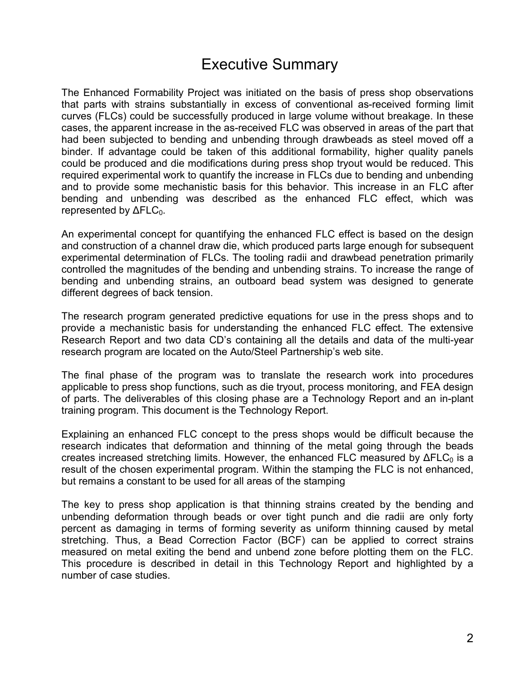# Executive Summary

The Enhanced Formability Project was initiated on the basis of press shop observations that parts with strains substantially in excess of conventional as-received forming limit curves (FLCs) could be successfully produced in large volume without breakage. In these cases, the apparent increase in the as-received FLC was observed in areas of the part that had been subjected to bending and unbending through drawbeads as steel moved off a binder. If advantage could be taken of this additional formability, higher quality panels could be produced and die modifications during press shop tryout would be reduced. This required experimental work to quantify the increase in FLCs due to bending and unbending and to provide some mechanistic basis for this behavior. This increase in an FLC after bending and unbending was described as the enhanced FLC effect, which was represented by  $\Delta FLC_0$ .

An experimental concept for quantifying the enhanced FLC effect is based on the design and construction of a channel draw die, which produced parts large enough for subsequent experimental determination of FLCs. The tooling radii and drawbead penetration primarily controlled the magnitudes of the bending and unbending strains. To increase the range of bending and unbending strains, an outboard bead system was designed to generate different degrees of back tension.

The research program generated predictive equations for use in the press shops and to provide a mechanistic basis for understanding the enhanced FLC effect. The extensive Research Report and two data CD's containing all the details and data of the multi-year research program are located on the Auto/Steel Partnership's web site.

The final phase of the program was to translate the research work into procedures applicable to press shop functions, such as die tryout, process monitoring, and FEA design of parts. The deliverables of this closing phase are a Technology Report and an in-plant training program. This document is the Technology Report.

Explaining an enhanced FLC concept to the press shops would be difficult because the research indicates that deformation and thinning of the metal going through the beads creates increased stretching limits. However, the enhanced FLC measured by  $\Delta FLC_0$  is a result of the chosen experimental program. Within the stamping the FLC is not enhanced, but remains a constant to be used for all areas of the stamping

The key to press shop application is that thinning strains created by the bending and unbending deformation through beads or over tight punch and die radii are only forty percent as damaging in terms of forming severity as uniform thinning caused by metal stretching. Thus, a Bead Correction Factor (BCF) can be applied to correct strains measured on metal exiting the bend and unbend zone before plotting them on the FLC. This procedure is described in detail in this Technology Report and highlighted by a number of case studies.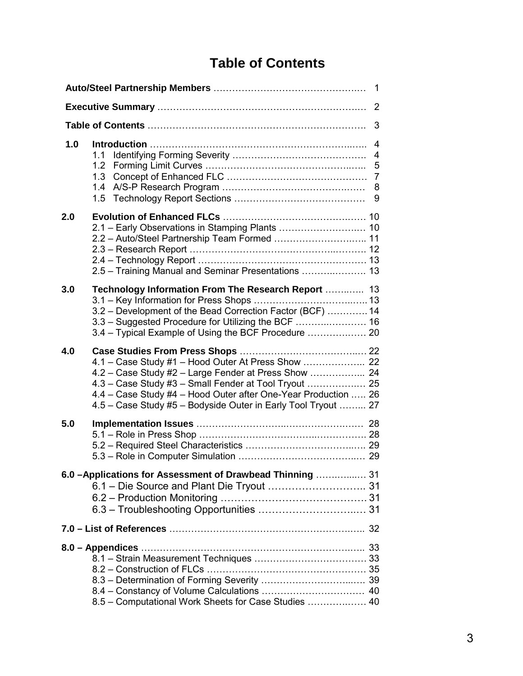# **Table of Contents**

| 2   |                                                                                                                                                                                                                                                  |                     |  |  |
|-----|--------------------------------------------------------------------------------------------------------------------------------------------------------------------------------------------------------------------------------------------------|---------------------|--|--|
|     |                                                                                                                                                                                                                                                  | 3                   |  |  |
| 1.0 | 1.1<br>1.2<br>1.3<br>1.4<br>1.5                                                                                                                                                                                                                  | $\overline{4}$<br>9 |  |  |
| 2.0 | 2.1 - Early Observations in Stamping Plants  10<br>2.2 - Auto/Steel Partnership Team Formed  11<br>2.5 - Training Manual and Seminar Presentations  13                                                                                           |                     |  |  |
| 3.0 | Technology Information From The Research Report  13<br>3.2 - Development of the Bead Correction Factor (BCF)  14<br>3.4 - Typical Example of Using the BCF Procedure  20                                                                         |                     |  |  |
| 4.0 | 4.2 - Case Study #2 - Large Fender at Press Show  24<br>4.3 - Case Study #3 - Small Fender at Tool Tryout  25<br>4.4 - Case Study #4 - Hood Outer after One-Year Production  26<br>4.5 - Case Study #5 - Bodyside Outer in Early Tool Tryout  27 |                     |  |  |
| 5.0 |                                                                                                                                                                                                                                                  |                     |  |  |
|     | 6.0 - Applications for Assessment of Drawbead Thinning  31<br>6.1 - Die Source and Plant Die Tryout  31<br>6.3 - Troubleshooting Opportunities  31                                                                                               |                     |  |  |
|     |                                                                                                                                                                                                                                                  |                     |  |  |
|     | 8.5 - Computational Work Sheets for Case Studies  40                                                                                                                                                                                             |                     |  |  |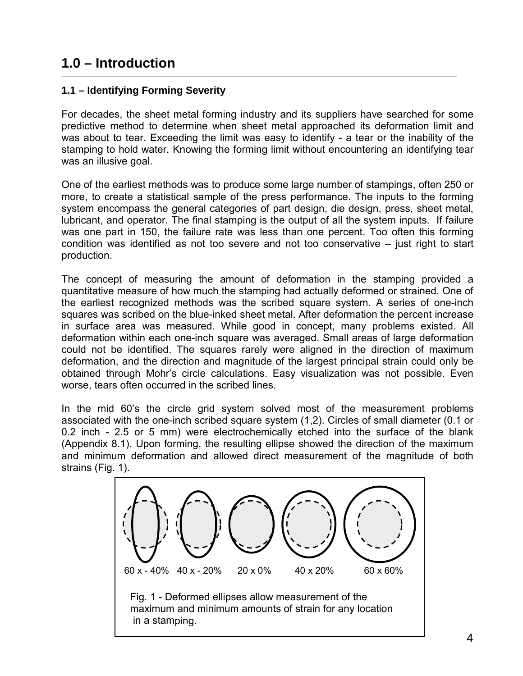## **1.0 – Introduction**

### **1.1 – Identifying Forming Severity**

For decades, the sheet metal forming industry and its suppliers have searched for some predictive method to determine when sheet metal approached its deformation limit and was about to tear. Exceeding the limit was easy to identify - a tear or the inability of the stamping to hold water. Knowing the forming limit without encountering an identifying tear was an illusive goal.

One of the earliest methods was to produce some large number of stampings, often 250 or more, to create a statistical sample of the press performance. The inputs to the forming system encompass the general categories of part design, die design, press, sheet metal, lubricant, and operator. The final stamping is the output of all the system inputs. If failure was one part in 150, the failure rate was less than one percent. Too often this forming condition was identified as not too severe and not too conservative – just right to start production.

The concept of measuring the amount of deformation in the stamping provided a quantitative measure of how much the stamping had actually deformed or strained. One of the earliest recognized methods was the scribed square system. A series of one-inch squares was scribed on the blue-inked sheet metal. After deformation the percent increase in surface area was measured. While good in concept, many problems existed. All deformation within each one-inch square was averaged. Small areas of large deformation could not be identified. The squares rarely were aligned in the direction of maximum deformation, and the direction and magnitude of the largest principal strain could only be obtained through Mohr's circle calculations. Easy visualization was not possible. Even worse, tears often occurred in the scribed lines.

In the mid 60's the circle grid system solved most of the measurement problems associated with the one-inch scribed square system (1,2). Circles of small diameter (0.1 or 0.2 inch - 2.5 or 5 mm) were electrochemically etched into the surface of the blank (Appendix 8.1). Upon forming, the resulting ellipse showed the direction of the maximum and minimum deformation and allowed direct measurement of the magnitude of both strains (Fig. 1).

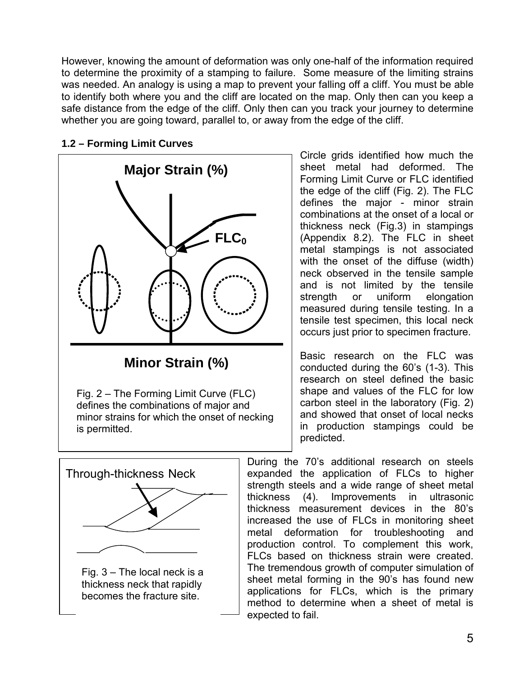However, knowing the amount of deformation was only one-half of the information required to determine the proximity of a stamping to failure. Some measure of the limiting strains was needed. An analogy is using a map to prevent your falling off a cliff. You must be able to identify both where you and the cliff are located on the map. Only then can you keep a safe distance from the edge of the cliff. Only then can you track your journey to determine whether you are going toward, parallel to, or away from the edge of the cliff.



### **1.2 – Forming Limit Curves**

**Minor Strain (%)**

Fig. 2 – The Forming Limit Curve (FLC) defines the combinations of major and minor strains for which the onset of necking is permitted.



Circle grids identified how much the sheet metal had deformed. The Forming Limit Curve or FLC identified the edge of the cliff (Fig. 2). The FLC defines the major - minor strain combinations at the onset of a local or thickness neck (Fig.3) in stampings (Appendix 8.2). The FLC in sheet metal stampings is not associated with the onset of the diffuse (width) neck observed in the tensile sample and is not limited by the tensile strength or uniform elongation measured during tensile testing. In a tensile test specimen, this local neck occurs just prior to specimen fracture.

Basic research on the FLC was conducted during the 60's (1-3). This research on steel defined the basic shape and values of the FLC for low carbon steel in the laboratory (Fig. 2) and showed that onset of local necks in production stampings could be predicted.

During the 70's additional research on steels expanded the application of FLCs to higher strength steels and a wide range of sheet metal thickness (4). Improvements in ultrasonic thickness measurement devices in the 80's increased the use of FLCs in monitoring sheet metal deformation for troubleshooting and production control. To complement this work, FLCs based on thickness strain were created. The tremendous growth of computer simulation of sheet metal forming in the 90's has found new applications for FLCs, which is the primary method to determine when a sheet of metal is expected to fail.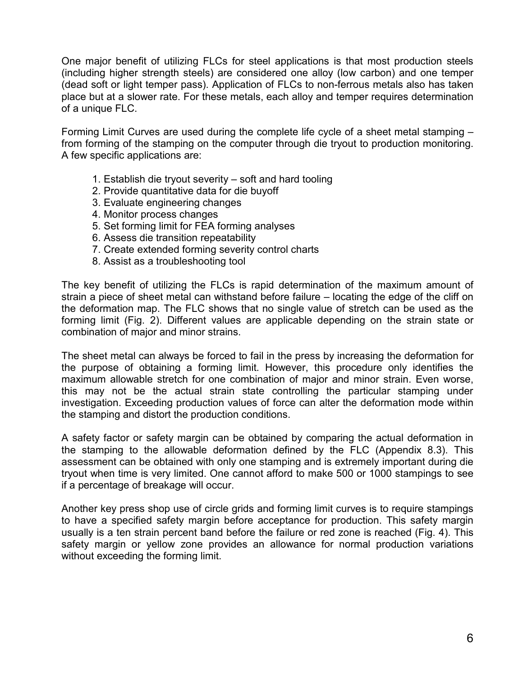One major benefit of utilizing FLCs for steel applications is that most production steels (including higher strength steels) are considered one alloy (low carbon) and one temper (dead soft or light temper pass). Application of FLCs to non-ferrous metals also has taken place but at a slower rate. For these metals, each alloy and temper requires determination of a unique FLC.

Forming Limit Curves are used during the complete life cycle of a sheet metal stamping – from forming of the stamping on the computer through die tryout to production monitoring. A few specific applications are:

- 1. Establish die tryout severity soft and hard tooling
- 2. Provide quantitative data for die buyoff
- 3. Evaluate engineering changes
- 4. Monitor process changes
- 5. Set forming limit for FEA forming analyses
- 6. Assess die transition repeatability
- 7. Create extended forming severity control charts
- 8. Assist as a troubleshooting tool

The key benefit of utilizing the FLCs is rapid determination of the maximum amount of strain a piece of sheet metal can withstand before failure – locating the edge of the cliff on the deformation map. The FLC shows that no single value of stretch can be used as the forming limit (Fig. 2). Different values are applicable depending on the strain state or combination of major and minor strains.

The sheet metal can always be forced to fail in the press by increasing the deformation for the purpose of obtaining a forming limit. However, this procedure only identifies the maximum allowable stretch for one combination of major and minor strain. Even worse, this may not be the actual strain state controlling the particular stamping under investigation. Exceeding production values of force can alter the deformation mode within the stamping and distort the production conditions.

A safety factor or safety margin can be obtained by comparing the actual deformation in the stamping to the allowable deformation defined by the FLC (Appendix 8.3). This assessment can be obtained with only one stamping and is extremely important during die tryout when time is very limited. One cannot afford to make 500 or 1000 stampings to see if a percentage of breakage will occur.

Another key press shop use of circle grids and forming limit curves is to require stampings to have a specified safety margin before acceptance for production. This safety margin usually is a ten strain percent band before the failure or red zone is reached (Fig. 4). This safety margin or yellow zone provides an allowance for normal production variations without exceeding the forming limit.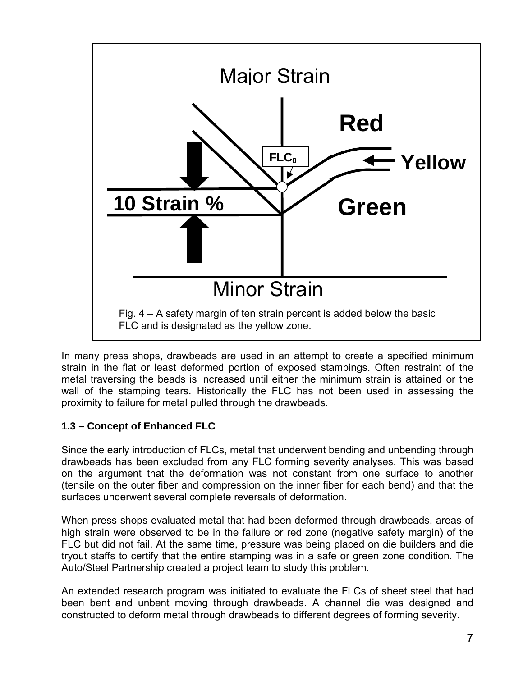

In many press shops, drawbeads are used in an attempt to create a specified minimum strain in the flat or least deformed portion of exposed stampings. Often restraint of the metal traversing the beads is increased until either the minimum strain is attained or the wall of the stamping tears. Historically the FLC has not been used in assessing the proximity to failure for metal pulled through the drawbeads.

### **1.3 – Concept of Enhanced FLC**

Since the early introduction of FLCs, metal that underwent bending and unbending through drawbeads has been excluded from any FLC forming severity analyses. This was based on the argument that the deformation was not constant from one surface to another (tensile on the outer fiber and compression on the inner fiber for each bend) and that the surfaces underwent several complete reversals of deformation.

When press shops evaluated metal that had been deformed through drawbeads, areas of high strain were observed to be in the failure or red zone (negative safety margin) of the FLC but did not fail. At the same time, pressure was being placed on die builders and die tryout staffs to certify that the entire stamping was in a safe or green zone condition. The Auto/Steel Partnership created a project team to study this problem.

An extended research program was initiated to evaluate the FLCs of sheet steel that had been bent and unbent moving through drawbeads. A channel die was designed and constructed to deform metal through drawbeads to different degrees of forming severity.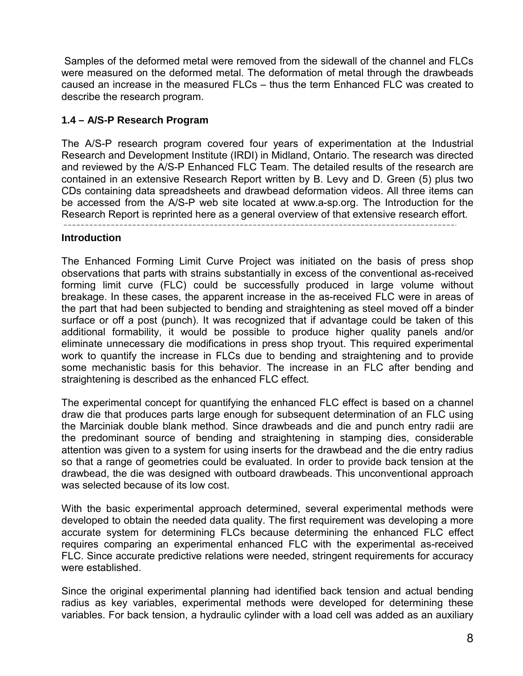Samples of the deformed metal were removed from the sidewall of the channel and FLCs were measured on the deformed metal. The deformation of metal through the drawbeads caused an increase in the measured FLCs – thus the term Enhanced FLC was created to describe the research program.

### **1.4 – A/S-P Research Program**

The A/S-P research program covered four years of experimentation at the Industrial Research and Development Institute (IRDI) in Midland, Ontario. The research was directed and reviewed by the A/S-P Enhanced FLC Team. The detailed results of the research are contained in an extensive Research Report written by B. Levy and D. Green (5) plus two CDs containing data spreadsheets and drawbead deformation videos. All three items can be accessed from the A/S-P web site located at www.a-sp.org. The Introduction for the Research Report is reprinted here as a general overview of that extensive research effort.

#### **Introduction**

The Enhanced Forming Limit Curve Project was initiated on the basis of press shop observations that parts with strains substantially in excess of the conventional as-received forming limit curve (FLC) could be successfully produced in large volume without breakage. In these cases, the apparent increase in the as-received FLC were in areas of the part that had been subjected to bending and straightening as steel moved off a binder surface or off a post (punch). It was recognized that if advantage could be taken of this additional formability, it would be possible to produce higher quality panels and/or eliminate unnecessary die modifications in press shop tryout. This required experimental work to quantify the increase in FLCs due to bending and straightening and to provide some mechanistic basis for this behavior. The increase in an FLC after bending and straightening is described as the enhanced FLC effect.

The experimental concept for quantifying the enhanced FLC effect is based on a channel draw die that produces parts large enough for subsequent determination of an FLC using the Marciniak double blank method. Since drawbeads and die and punch entry radii are the predominant source of bending and straightening in stamping dies, considerable attention was given to a system for using inserts for the drawbead and the die entry radius so that a range of geometries could be evaluated. In order to provide back tension at the drawbead, the die was designed with outboard drawbeads. This unconventional approach was selected because of its low cost.

With the basic experimental approach determined, several experimental methods were developed to obtain the needed data quality. The first requirement was developing a more accurate system for determining FLCs because determining the enhanced FLC effect requires comparing an experimental enhanced FLC with the experimental as-received FLC. Since accurate predictive relations were needed, stringent requirements for accuracy were established.

Since the original experimental planning had identified back tension and actual bending radius as key variables, experimental methods were developed for determining these variables. For back tension, a hydraulic cylinder with a load cell was added as an auxiliary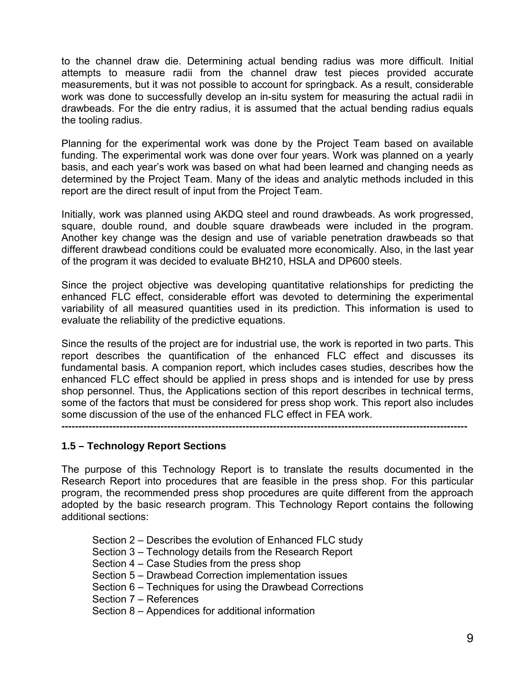to the channel draw die. Determining actual bending radius was more difficult. Initial attempts to measure radii from the channel draw test pieces provided accurate measurements, but it was not possible to account for springback. As a result, considerable work was done to successfully develop an in-situ system for measuring the actual radii in drawbeads. For the die entry radius, it is assumed that the actual bending radius equals the tooling radius.

Planning for the experimental work was done by the Project Team based on available funding. The experimental work was done over four years. Work was planned on a yearly basis, and each year's work was based on what had been learned and changing needs as determined by the Project Team. Many of the ideas and analytic methods included in this report are the direct result of input from the Project Team.

Initially, work was planned using AKDQ steel and round drawbeads. As work progressed, square, double round, and double square drawbeads were included in the program. Another key change was the design and use of variable penetration drawbeads so that different drawbead conditions could be evaluated more economically. Also, in the last year of the program it was decided to evaluate BH210, HSLA and DP600 steels.

Since the project objective was developing quantitative relationships for predicting the enhanced FLC effect, considerable effort was devoted to determining the experimental variability of all measured quantities used in its prediction. This information is used to evaluate the reliability of the predictive equations.

Since the results of the project are for industrial use, the work is reported in two parts. This report describes the quantification of the enhanced FLC effect and discusses its fundamental basis. A companion report, which includes cases studies, describes how the enhanced FLC effect should be applied in press shops and is intended for use by press shop personnel. Thus, the Applications section of this report describes in technical terms, some of the factors that must be considered for press shop work. This report also includes some discussion of the use of the enhanced FLC effect in FEA work.

**-----------------------------------------------------------------------------------------------------------------------**

#### **1.5 – Technology Report Sections**

The purpose of this Technology Report is to translate the results documented in the Research Report into procedures that are feasible in the press shop. For this particular program, the recommended press shop procedures are quite different from the approach adopted by the basic research program. This Technology Report contains the following additional sections:

 Section 2 – Describes the evolution of Enhanced FLC study Section 3 – Technology details from the Research Report Section 4 – Case Studies from the press shop Section 5 – Drawbead Correction implementation issues Section 6 – Techniques for using the Drawbead Corrections Section 7 – References Section 8 – Appendices for additional information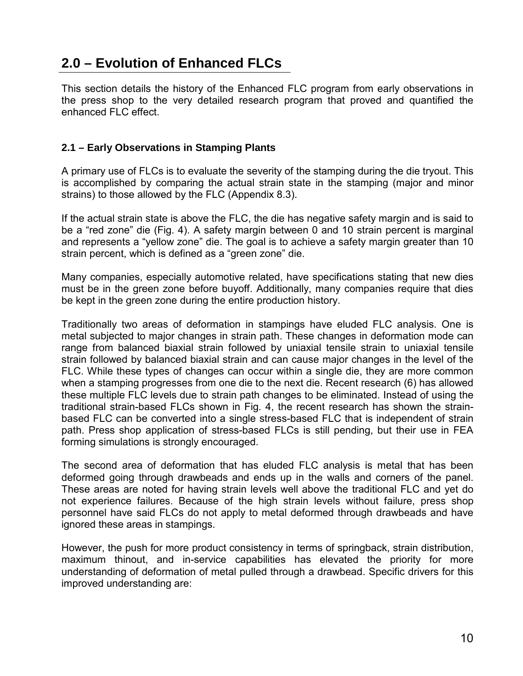# **2.0 – Evolution of Enhanced FLCs**

This section details the history of the Enhanced FLC program from early observations in the press shop to the very detailed research program that proved and quantified the enhanced FLC effect.

### **2.1 – Early Observations in Stamping Plants**

A primary use of FLCs is to evaluate the severity of the stamping during the die tryout. This is accomplished by comparing the actual strain state in the stamping (major and minor strains) to those allowed by the FLC (Appendix 8.3).

If the actual strain state is above the FLC, the die has negative safety margin and is said to be a "red zone" die (Fig. 4). A safety margin between 0 and 10 strain percent is marginal and represents a "yellow zone" die. The goal is to achieve a safety margin greater than 10 strain percent, which is defined as a "green zone" die.

Many companies, especially automotive related, have specifications stating that new dies must be in the green zone before buyoff. Additionally, many companies require that dies be kept in the green zone during the entire production history.

Traditionally two areas of deformation in stampings have eluded FLC analysis. One is metal subjected to major changes in strain path. These changes in deformation mode can range from balanced biaxial strain followed by uniaxial tensile strain to uniaxial tensile strain followed by balanced biaxial strain and can cause major changes in the level of the FLC. While these types of changes can occur within a single die, they are more common when a stamping progresses from one die to the next die. Recent research (6) has allowed these multiple FLC levels due to strain path changes to be eliminated. Instead of using the traditional strain-based FLCs shown in Fig. 4, the recent research has shown the strainbased FLC can be converted into a single stress-based FLC that is independent of strain path. Press shop application of stress-based FLCs is still pending, but their use in FEA forming simulations is strongly encouraged.

The second area of deformation that has eluded FLC analysis is metal that has been deformed going through drawbeads and ends up in the walls and corners of the panel. These areas are noted for having strain levels well above the traditional FLC and yet do not experience failures. Because of the high strain levels without failure, press shop personnel have said FLCs do not apply to metal deformed through drawbeads and have ignored these areas in stampings.

However, the push for more product consistency in terms of springback, strain distribution, maximum thinout, and in-service capabilities has elevated the priority for more understanding of deformation of metal pulled through a drawbead. Specific drivers for this improved understanding are: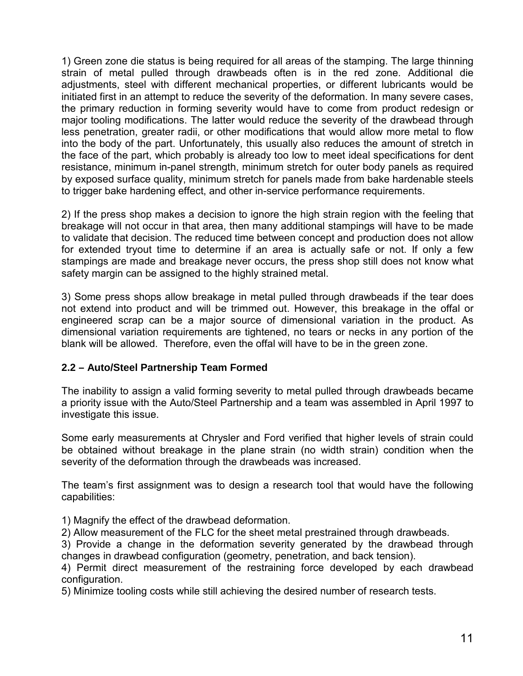1) Green zone die status is being required for all areas of the stamping. The large thinning strain of metal pulled through drawbeads often is in the red zone. Additional die adjustments, steel with different mechanical properties, or different lubricants would be initiated first in an attempt to reduce the severity of the deformation. In many severe cases, the primary reduction in forming severity would have to come from product redesign or major tooling modifications. The latter would reduce the severity of the drawbead through less penetration, greater radii, or other modifications that would allow more metal to flow into the body of the part. Unfortunately, this usually also reduces the amount of stretch in the face of the part, which probably is already too low to meet ideal specifications for dent resistance, minimum in-panel strength, minimum stretch for outer body panels as required by exposed surface quality, minimum stretch for panels made from bake hardenable steels to trigger bake hardening effect, and other in-service performance requirements.

2) If the press shop makes a decision to ignore the high strain region with the feeling that breakage will not occur in that area, then many additional stampings will have to be made to validate that decision. The reduced time between concept and production does not allow for extended tryout time to determine if an area is actually safe or not. If only a few stampings are made and breakage never occurs, the press shop still does not know what safety margin can be assigned to the highly strained metal.

3) Some press shops allow breakage in metal pulled through drawbeads if the tear does not extend into product and will be trimmed out. However, this breakage in the offal or engineered scrap can be a major source of dimensional variation in the product. As dimensional variation requirements are tightened, no tears or necks in any portion of the blank will be allowed. Therefore, even the offal will have to be in the green zone.

### **2.2 – Auto/Steel Partnership Team Formed**

The inability to assign a valid forming severity to metal pulled through drawbeads became a priority issue with the Auto/Steel Partnership and a team was assembled in April 1997 to investigate this issue.

Some early measurements at Chrysler and Ford verified that higher levels of strain could be obtained without breakage in the plane strain (no width strain) condition when the severity of the deformation through the drawbeads was increased.

The team's first assignment was to design a research tool that would have the following capabilities:

1) Magnify the effect of the drawbead deformation.

2) Allow measurement of the FLC for the sheet metal prestrained through drawbeads.

3) Provide a change in the deformation severity generated by the drawbead through changes in drawbead configuration (geometry, penetration, and back tension).

4) Permit direct measurement of the restraining force developed by each drawbead configuration.

5) Minimize tooling costs while still achieving the desired number of research tests.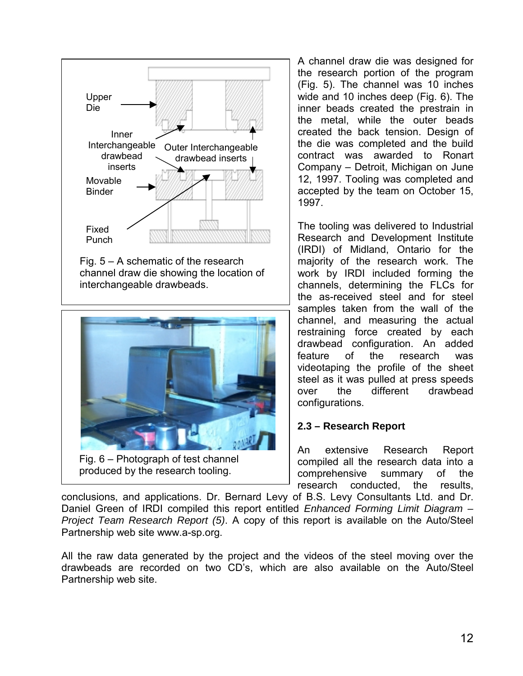

interchangeable drawbeads.



Fig. 6 – Photograph of test channel produced by the research tooling.

A channel draw die was designed for the research portion of the program (Fig. 5). The channel was 10 inches wide and 10 inches deep (Fig. 6). The inner beads created the prestrain in the metal, while the outer beads created the back tension. Design of the die was completed and the build contract was awarded to Ronart Company – Detroit, Michigan on June 12, 1997. Tooling was completed and accepted by the team on October 15, 1997.

The tooling was delivered to Industrial Research and Development Institute (IRDI) of Midland, Ontario for the majority of the research work. The work by IRDI included forming the channels, determining the FLCs for the as-received steel and for steel samples taken from the wall of the channel, and measuring the actual restraining force created by each drawbead configuration. An added feature of the research was videotaping the profile of the sheet steel as it was pulled at press speeds over the different drawbead configurations.

#### **2.3 – Research Report**

An extensive Research Report compiled all the research data into a comprehensive summary of the research conducted, the results,

conclusions, and applications. Dr. Bernard Levy of B.S. Levy Consultants Ltd. and Dr. Daniel Green of IRDI compiled this report entitled *Enhanced Forming Limit Diagram – Project Team Research Report (5)*. A copy of this report is available on the Auto/Steel Partnership web site www.a-sp.org.

All the raw data generated by the project and the videos of the steel moving over the drawbeads are recorded on two CD's, which are also available on the Auto/Steel Partnership web site.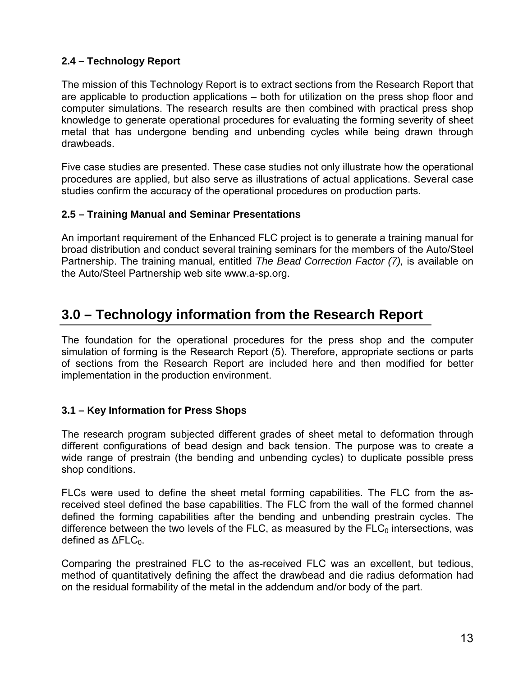### **2.4 – Technology Report**

The mission of this Technology Report is to extract sections from the Research Report that are applicable to production applications – both for utilization on the press shop floor and computer simulations. The research results are then combined with practical press shop knowledge to generate operational procedures for evaluating the forming severity of sheet metal that has undergone bending and unbending cycles while being drawn through drawbeads.

Five case studies are presented. These case studies not only illustrate how the operational procedures are applied, but also serve as illustrations of actual applications. Several case studies confirm the accuracy of the operational procedures on production parts.

### **2.5 – Training Manual and Seminar Presentations**

An important requirement of the Enhanced FLC project is to generate a training manual for broad distribution and conduct several training seminars for the members of the Auto/Steel Partnership. The training manual, entitled *The Bead Correction Factor (7),* is available on the Auto/Steel Partnership web site www.a-sp.org.

## **3.0 – Technology information from the Research Report**

The foundation for the operational procedures for the press shop and the computer simulation of forming is the Research Report (5). Therefore, appropriate sections or parts of sections from the Research Report are included here and then modified for better implementation in the production environment.

### **3.1 – Key Information for Press Shops**

The research program subjected different grades of sheet metal to deformation through different configurations of bead design and back tension. The purpose was to create a wide range of prestrain (the bending and unbending cycles) to duplicate possible press shop conditions.

FLCs were used to define the sheet metal forming capabilities. The FLC from the asreceived steel defined the base capabilities. The FLC from the wall of the formed channel defined the forming capabilities after the bending and unbending prestrain cycles. The difference between the two levels of the FLC, as measured by the  $FLC<sub>0</sub>$  intersections, was defined as  $\Delta F LC_0$ .

Comparing the prestrained FLC to the as-received FLC was an excellent, but tedious, method of quantitatively defining the affect the drawbead and die radius deformation had on the residual formability of the metal in the addendum and/or body of the part.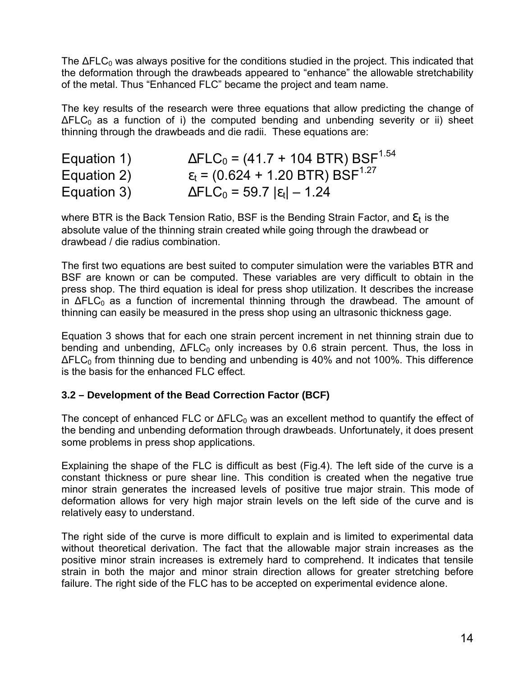The  $\Delta FLC_0$  was always positive for the conditions studied in the project. This indicated that the deformation through the drawbeads appeared to "enhance" the allowable stretchability of the metal. Thus "Enhanced FLC" became the project and team name.

The key results of the research were three equations that allow predicting the change of  $\Delta FLC_0$  as a function of i) the computed bending and unbending severity or ii) sheet thinning through the drawbeads and die radii. These equations are:

| Equation 1) | $\Delta FLC_0$ = (41.7 + 104 BTR) BSF <sup>1.54</sup>    |
|-------------|----------------------------------------------------------|
| Equation 2) | $\varepsilon_t$ = (0.624 + 1.20 BTR) BSF <sup>1.27</sup> |
| Equation 3) | $\Delta FLC_0$ = 59.7 $ \epsilon_t $ – 1.24              |

where BTR is the Back Tension Ratio, BSF is the Bending Strain Factor, and  $\mathcal{E}_t$  is the absolute value of the thinning strain created while going through the drawbead or drawbead / die radius combination.

The first two equations are best suited to computer simulation were the variables BTR and BSF are known or can be computed. These variables are very difficult to obtain in the press shop. The third equation is ideal for press shop utilization. It describes the increase in  $\Delta F LC_0$  as a function of incremental thinning through the drawbead. The amount of thinning can easily be measured in the press shop using an ultrasonic thickness gage.

Equation 3 shows that for each one strain percent increment in net thinning strain due to bending and unbending,  $\Delta F LC_0$  only increases by 0.6 strain percent. Thus, the loss in  $\Delta FLC_0$  from thinning due to bending and unbending is 40% and not 100%. This difference is the basis for the enhanced FLC effect.

### **3.2 – Development of the Bead Correction Factor (BCF)**

The concept of enhanced FLC or  $\Delta FLC_0$  was an excellent method to quantify the effect of the bending and unbending deformation through drawbeads. Unfortunately, it does present some problems in press shop applications.

Explaining the shape of the FLC is difficult as best (Fig.4). The left side of the curve is a constant thickness or pure shear line. This condition is created when the negative true minor strain generates the increased levels of positive true major strain. This mode of deformation allows for very high major strain levels on the left side of the curve and is relatively easy to understand.

The right side of the curve is more difficult to explain and is limited to experimental data without theoretical derivation. The fact that the allowable major strain increases as the positive minor strain increases is extremely hard to comprehend. It indicates that tensile strain in both the major and minor strain direction allows for greater stretching before failure. The right side of the FLC has to be accepted on experimental evidence alone.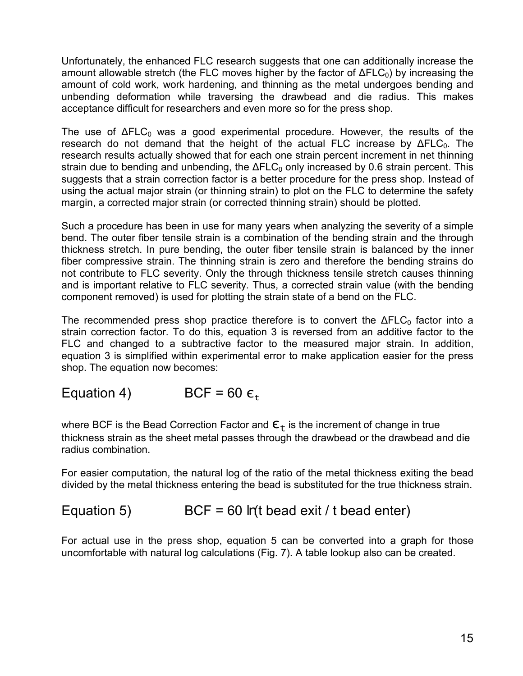Unfortunately, the enhanced FLC research suggests that one can additionally increase the amount allowable stretch (the FLC moves higher by the factor of  $\Delta FLC_0$ ) by increasing the amount of cold work, work hardening, and thinning as the metal undergoes bending and unbending deformation while traversing the drawbead and die radius. This makes acceptance difficult for researchers and even more so for the press shop.

The use of  $\Delta FLC_0$  was a good experimental procedure. However, the results of the research do not demand that the height of the actual FLC increase by ΔFLC<sub>0</sub>. The research results actually showed that for each one strain percent increment in net thinning strain due to bending and unbending, the  $\Delta FLC_0$  only increased by 0.6 strain percent. This suggests that a strain correction factor is a better procedure for the press shop. Instead of using the actual major strain (or thinning strain) to plot on the FLC to determine the safety margin, a corrected major strain (or corrected thinning strain) should be plotted.

Such a procedure has been in use for many years when analyzing the severity of a simple bend. The outer fiber tensile strain is a combination of the bending strain and the through thickness stretch. In pure bending, the outer fiber tensile strain is balanced by the inner fiber compressive strain. The thinning strain is zero and therefore the bending strains do not contribute to FLC severity. Only the through thickness tensile stretch causes thinning and is important relative to FLC severity. Thus, a corrected strain value (with the bending component removed) is used for plotting the strain state of a bend on the FLC.

The recommended press shop practice therefore is to convert the  $\Delta FLC_0$  factor into a strain correction factor. To do this, equation 3 is reversed from an additive factor to the FLC and changed to a subtractive factor to the measured major strain. In addition, equation 3 is simplified within experimental error to make application easier for the press shop. The equation now becomes:

Equation 4) BCF = 60  $\epsilon_{\rm t}$ 

where BCF is the Bead Correction Factor and  $\epsilon_t$  is the increment of change in true thickness strain as the sheet metal passes through the drawbead or the drawbead and die radius combination.

For easier computation, the natural log of the ratio of the metal thickness exiting the bead divided by the metal thickness entering the bead is substituted for the true thickness strain.

## Equation 5) BCF = 60 *ln*(t bead exit / t bead enter)

For actual use in the press shop, equation 5 can be converted into a graph for those uncomfortable with natural log calculations (Fig. 7). A table lookup also can be created.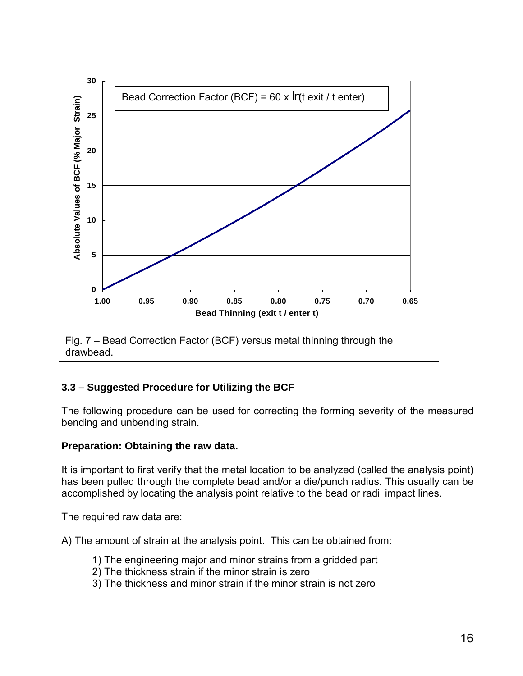

### **3.3 – Suggested Procedure for Utilizing the BCF**

The following procedure can be used for correcting the forming severity of the measured bending and unbending strain.

#### **Preparation: Obtaining the raw data.**

It is important to first verify that the metal location to be analyzed (called the analysis point) has been pulled through the complete bead and/or a die/punch radius. This usually can be accomplished by locating the analysis point relative to the bead or radii impact lines.

The required raw data are:

A) The amount of strain at the analysis point. This can be obtained from:

- 1) The engineering major and minor strains from a gridded part
- 2) The thickness strain if the minor strain is zero
- 3) The thickness and minor strain if the minor strain is not zero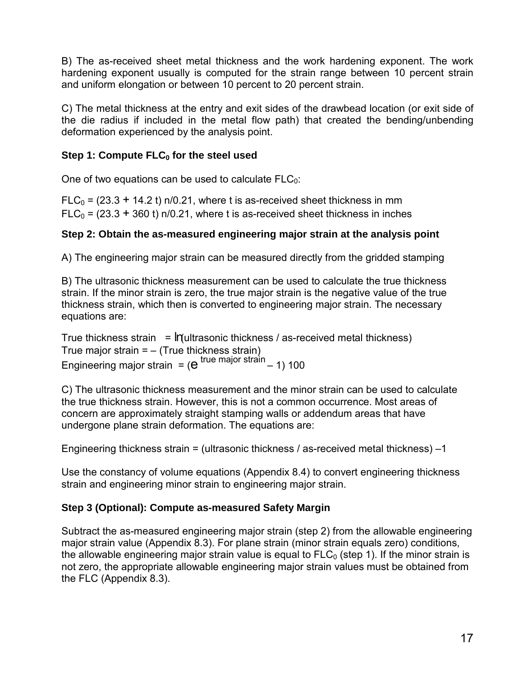B) The as-received sheet metal thickness and the work hardening exponent. The work hardening exponent usually is computed for the strain range between 10 percent strain and uniform elongation or between 10 percent to 20 percent strain.

C) The metal thickness at the entry and exit sides of the drawbead location (or exit side of the die radius if included in the metal flow path) that created the bending/unbending deformation experienced by the analysis point.

### **Step 1: Compute FLC**<sup>0</sup> for the steel used

One of two equations can be used to calculate  $FLC<sub>0</sub>$ :

 $FLC<sub>0</sub> = (23.3 + 14.2 t)$  n/0.21, where t is as-received sheet thickness in mm  $FLC<sub>0</sub> = (23.3 + 360 t)$  n/0.21, where t is as-received sheet thickness in inches

### **Step 2: Obtain the as-measured engineering major strain at the analysis point**

A) The engineering major strain can be measured directly from the gridded stamping

B) The ultrasonic thickness measurement can be used to calculate the true thickness strain. If the minor strain is zero, the true major strain is the negative value of the true thickness strain, which then is converted to engineering major strain. The necessary equations are:

True thickness strain = *ln*(ultrasonic thickness / as-received metal thickness) True major strain  $=$  – (True thickness strain) Engineering major strain =  $(e^{true \text{ major strain}} - 1)$  100

C) The ultrasonic thickness measurement and the minor strain can be used to calculate the true thickness strain. However, this is not a common occurrence. Most areas of concern are approximately straight stamping walls or addendum areas that have undergone plane strain deformation. The equations are:

Engineering thickness strain = (ultrasonic thickness / as-received metal thickness) –1

Use the constancy of volume equations (Appendix 8.4) to convert engineering thickness strain and engineering minor strain to engineering major strain.

### **Step 3 (Optional): Compute as-measured Safety Margin**

Subtract the as-measured engineering major strain (step 2) from the allowable engineering major strain value (Appendix 8.3). For plane strain (minor strain equals zero) conditions, the allowable engineering major strain value is equal to  $FLC<sub>0</sub>$  (step 1). If the minor strain is not zero, the appropriate allowable engineering major strain values must be obtained from the FLC (Appendix 8.3).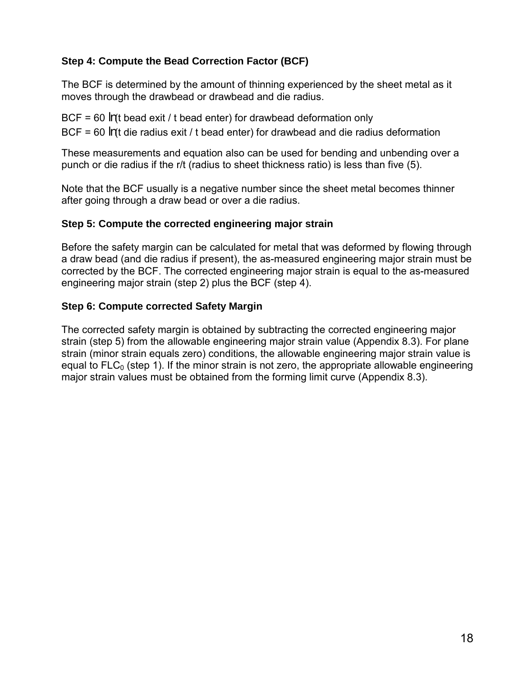### **Step 4: Compute the Bead Correction Factor (BCF)**

The BCF is determined by the amount of thinning experienced by the sheet metal as it moves through the drawbead or drawbead and die radius.

BCF = 60 *ln*(t bead exit / t bead enter) for drawbead deformation only BCF = 60 *ln*(t die radius exit / t bead enter) for drawbead and die radius deformation

These measurements and equation also can be used for bending and unbending over a punch or die radius if the r/t (radius to sheet thickness ratio) is less than five (5).

Note that the BCF usually is a negative number since the sheet metal becomes thinner after going through a draw bead or over a die radius.

#### **Step 5: Compute the corrected engineering major strain**

Before the safety margin can be calculated for metal that was deformed by flowing through a draw bead (and die radius if present), the as-measured engineering major strain must be corrected by the BCF. The corrected engineering major strain is equal to the as-measured engineering major strain (step 2) plus the BCF (step 4).

#### **Step 6: Compute corrected Safety Margin**

The corrected safety margin is obtained by subtracting the corrected engineering major strain (step 5) from the allowable engineering major strain value (Appendix 8.3). For plane strain (minor strain equals zero) conditions, the allowable engineering major strain value is equal to  $FLC<sub>0</sub>$  (step 1). If the minor strain is not zero, the appropriate allowable engineering major strain values must be obtained from the forming limit curve (Appendix 8.3).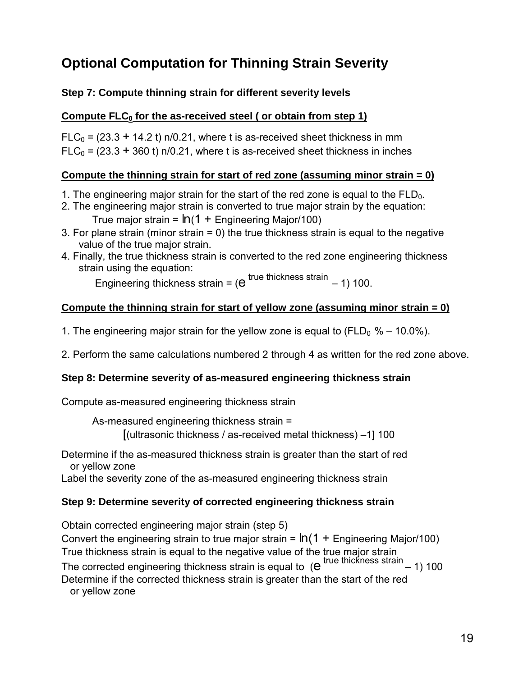# **Optional Computation for Thinning Strain Severity**

### **Step 7: Compute thinning strain for different severity levels**

### **Compute FLC<sub>0</sub> for the as-received steel ( or obtain from step 1)**

 $FLC_0 = (23.3 + 14.2 t)$  n/0.21, where t is as-received sheet thickness in mm  $FLC<sub>0</sub> = (23.3 + 360 t)$  n/0.21, where t is as-received sheet thickness in inches

### **Compute the thinning strain for start of red zone (assuming minor strain = 0)**

- 1. The engineering major strain for the start of the red zone is equal to the  $FLD<sub>0</sub>$ .
- 2. The engineering major strain is converted to true major strain by the equation: True major strain =  $ln(1 +$  Engineering Major/100)
- 3. For plane strain (minor strain = 0) the true thickness strain is equal to the negative value of the true major strain.
- 4. Finally, the true thickness strain is converted to the red zone engineering thickness strain using the equation:

Engineering thickness strain =  $(e^{true}$  thickness strain  $-1$ ) 100.

### **Compute the thinning strain for start of yellow zone (assuming minor strain = 0)**

- 1. The engineering major strain for the yellow zone is equal to ( $FLD_0 % 10.0\%$ ).
- 2. Perform the same calculations numbered 2 through 4 as written for the red zone above.

### **Step 8: Determine severity of as-measured engineering thickness strain**

Compute as-measured engineering thickness strain

As-measured engineering thickness strain = [(ultrasonic thickness / as-received metal thickness) –1] 100

Determine if the as-measured thickness strain is greater than the start of red or yellow zone

Label the severity zone of the as-measured engineering thickness strain

### **Step 9: Determine severity of corrected engineering thickness strain**

Obtain corrected engineering major strain (step 5)

Convert the engineering strain to true major strain = *ln* (1 + Engineering Major/100) True thickness strain is equal to the negative value of the true major strain

The corrected engineering thickness strain is equal to  $(e^{true}$  thickness strain – 1) 100

Determine if the corrected thickness strain is greater than the start of the red or yellow zone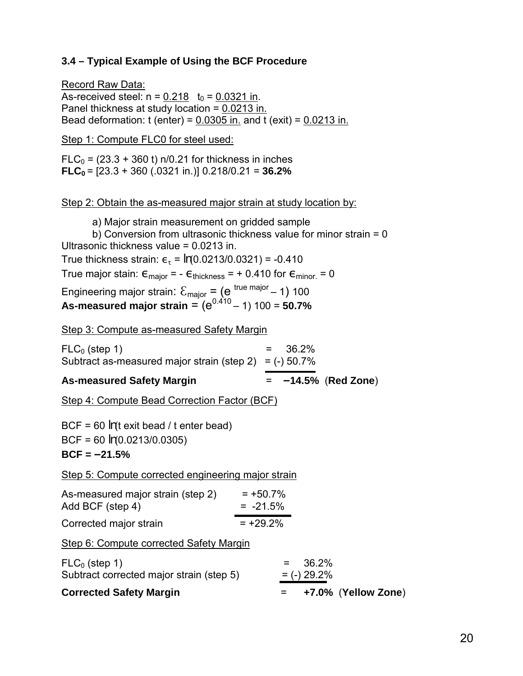### **3.4 – Typical Example of Using the BCF Procedure**

Record Raw Data: As-received steel:  $n = 0.218$  t<sub>0</sub> = 0.0321 in. Panel thickness at study location = 0.0213 in. Bead deformation:  $t$  (enter) =  $0.0305$  in. and  $t$  (exit) =  $0.0213$  in.

Step 1: Compute FLC0 for steel used:

 $FLC<sub>0</sub> = (23.3 + 360 t)$  n/0.21 for thickness in inches **FLC**<sup> $0$ </sup> = [23.3 + 360 (.0321 in.)] 0.218/0.21 = **36.2%** 

#### Step 2: Obtain the as-measured major strain at study location by:

a) Major strain measurement on gridded sample b) Conversion from ultrasonic thickness value for minor strain = 0 Ultrasonic thickness value = 0.0213 in. True thickness strain:  $\epsilon_+ = ln(0.0213/0.0321) = -0.410$ True major stain:  $\epsilon_{\text{major}} = -\epsilon_{\text{thickness}} = +0.410$  for  $\epsilon_{\text{minor.}} = 0$ Engineering major strain:  $\mathcal{E}_{\text{major}} = (e^{\text{ true major}} - 1)$  100 As-measured major strain =  $(e^{0.410} - 1)$  100 = 50.7%

Step 3: Compute as-measured Safety Margin

| <b>As-measured Safety Margin</b>                         | $= -14.5\%$ (Red Zone) |
|----------------------------------------------------------|------------------------|
| Subtract as-measured major strain (step 2) = $(-)$ 50.7% |                        |
| $FLC_0$ (step 1)                                         | $= 36.2\%$             |
|                                                          |                        |

Step 4: Compute Bead Correction Factor (BCF)

BCF = 60 *ln*(t exit bead / t enter bead)

BCF = 60 *ln*(0.0213/0.0305)

**BCF = –21.5%** 

Step 5: Compute corrected engineering major strain

| As-measured major strain (step 2) | $= +50.7%$ |
|-----------------------------------|------------|
| Add BCF (step 4)                  | $= -21.5%$ |
| Corrected major strain            | $= +29.2%$ |

Step 6: Compute corrected Safety Margin

| +7.0% (Yellow Zone)<br><u>е п</u> |
|-----------------------------------|
| $=$ (-) 29.2%                     |
| $= 36.2\%$                        |
|                                   |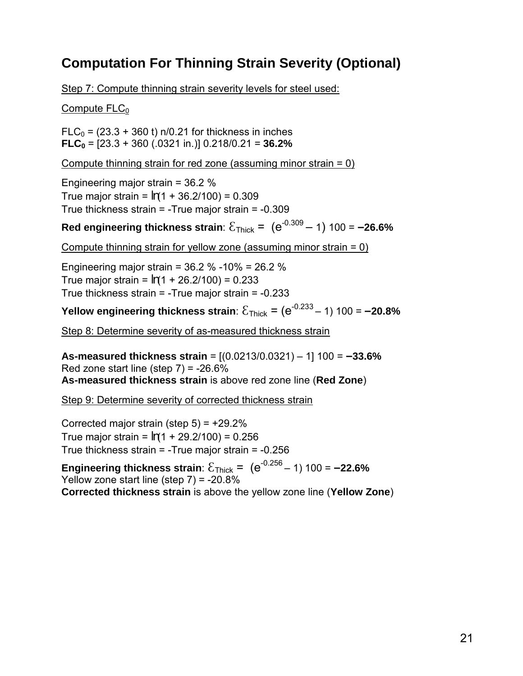# **Computation For Thinning Strain Severity (Optional)**

Step 7: Compute thinning strain severity levels for steel used:

Compute  $FLC<sub>0</sub>$ 

 $FLC<sub>0</sub> = (23.3 + 360 t)$  n/0.21 for thickness in inches **FLC<sub>0</sub>** =  $[23.3 + 360 (.0321 in.)] 0.218/0.21 = 36.2\%$ 

Compute thinning strain for red zone (assuming minor strain = 0)

Engineering major strain = 36.2 % True major strain = *ln*(1 + 36.2/100) = 0.309 True thickness strain = -True major strain = -0.309

**Red engineering thickness strain**:  $\mathcal{E}_{\text{Thick}} = (e^{-0.309} - 1)$  100 = -26.6%

Compute thinning strain for yellow zone (assuming minor strain = 0)

Engineering major strain = 36.2 % -10% = 26.2 % True major strain = *ln*(1 + 26.2/100) = 0.233 True thickness strain = -True major strain = -0.233

**Yellow engineering thickness strain**:  $\mathcal{E}_{\text{Thick}} = (e^{-0.233} - 1)$  100 = -20.8%

Step 8: Determine severity of as-measured thickness strain

**As-measured thickness strain** = [(0.0213/0.0321) – 1] 100 = **–33.6%** Red zone start line (step  $7$ ) = -26.6% **As-measured thickness strain** is above red zone line (**Red Zone**)

Step 9: Determine severity of corrected thickness strain

Corrected major strain (step  $5$ ) =  $+29.2\%$ True major strain =  $ln(1 + 29.2/100) = 0.256$ True thickness strain = -True major strain = -0.256

**Engineering thickness strain**:  $\mathcal{E}_{\text{Thick}} = (e^{-0.256} - 1) 100 = -22.6\%$ Yellow zone start line (step  $7$ ) = -20.8% **Corrected thickness strain** is above the yellow zone line (**Yellow Zone**)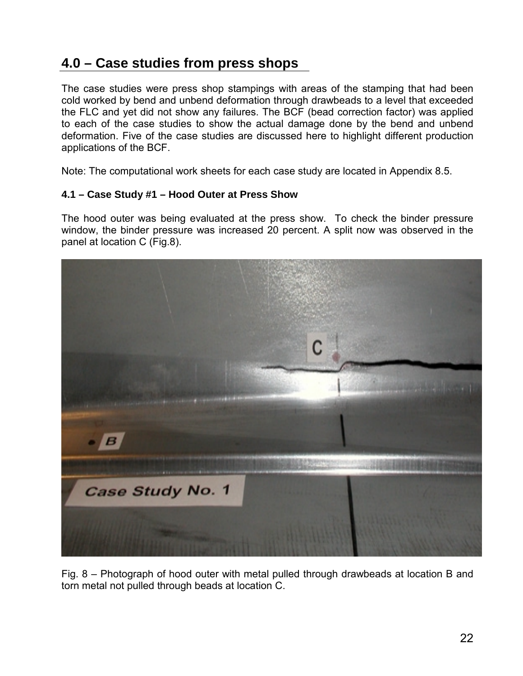# **4.0 – Case studies from press shops**

The case studies were press shop stampings with areas of the stamping that had been cold worked by bend and unbend deformation through drawbeads to a level that exceeded the FLC and yet did not show any failures. The BCF (bead correction factor) was applied to each of the case studies to show the actual damage done by the bend and unbend deformation. Five of the case studies are discussed here to highlight different production applications of the BCF.

Note: The computational work sheets for each case study are located in Appendix 8.5.

#### **4.1 – Case Study #1 – Hood Outer at Press Show**

The hood outer was being evaluated at the press show. To check the binder pressure window, the binder pressure was increased 20 percent. A split now was observed in the panel at location C (Fig.8).



Fig. 8 – Photograph of hood outer with metal pulled through drawbeads at location B and torn metal not pulled through beads at location C.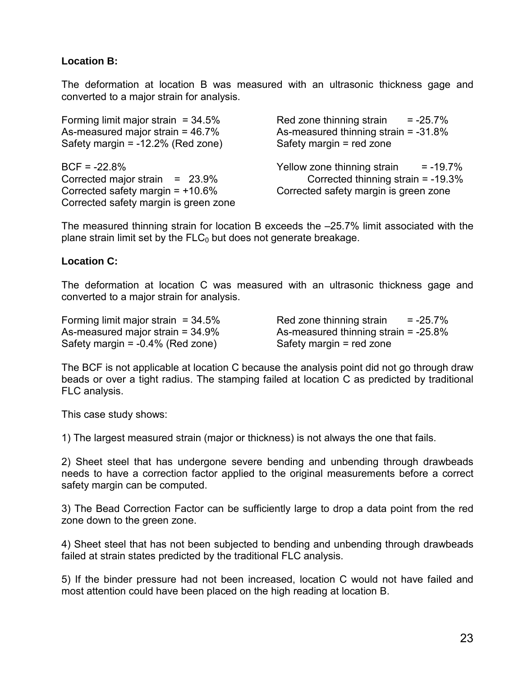#### **Location B:**

The deformation at location B was measured with an ultrasonic thickness gage and converted to a major strain for analysis.

Forming limit major strain  $= 34.5\%$  Red zone thinning strain  $= -25.7\%$ As-measured major strain = 46.7% As-measured thinning strain = -31.8% Safety margin = -12.2% (Red zone) Safety margin = red zone BCF = -22.8% Yellow zone thinning strain = -19.7% Corrected major strain = 23.9% Corrected thinning strain = -19.3% Corrected safety margin = +10.6% Corrected safety margin is green zone Corrected safety margin is green zone

The measured thinning strain for location B exceeds the –25.7% limit associated with the plane strain limit set by the  $FLC<sub>0</sub>$  but does not generate breakage.

#### **Location C:**

The deformation at location C was measured with an ultrasonic thickness gage and converted to a major strain for analysis.

Safety margin = -0.4% (Red zone) Safety margin = red zone

Forming limit major strain  $= 34.5\%$  Red zone thinning strain  $= -25.7\%$ As-measured major strain = 34.9% As-measured thinning strain = -25.8%

The BCF is not applicable at location C because the analysis point did not go through draw beads or over a tight radius. The stamping failed at location C as predicted by traditional FLC analysis.

This case study shows:

1) The largest measured strain (major or thickness) is not always the one that fails.

2) Sheet steel that has undergone severe bending and unbending through drawbeads needs to have a correction factor applied to the original measurements before a correct safety margin can be computed.

3) The Bead Correction Factor can be sufficiently large to drop a data point from the red zone down to the green zone.

4) Sheet steel that has not been subjected to bending and unbending through drawbeads failed at strain states predicted by the traditional FLC analysis.

5) If the binder pressure had not been increased, location C would not have failed and most attention could have been placed on the high reading at location B.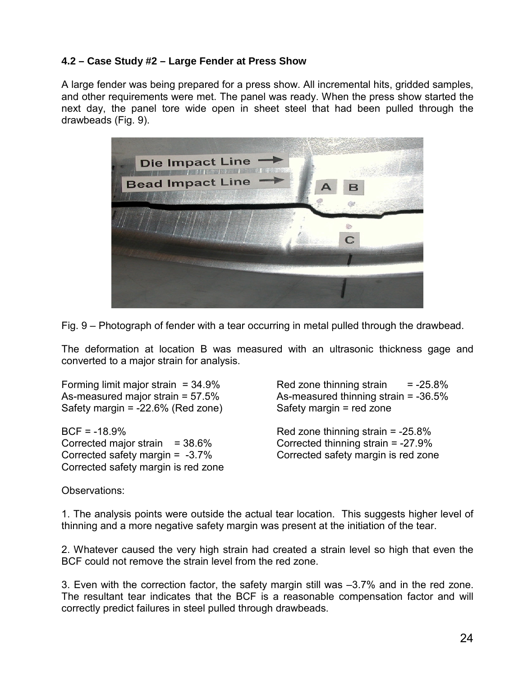#### **4.2 – Case Study #2 – Large Fender at Press Show**

A large fender was being prepared for a press show. All incremental hits, gridded samples, and other requirements were met. The panel was ready. When the press show started the next day, the panel tore wide open in sheet steel that had been pulled through the drawbeads (Fig. 9).



Fig. 9 – Photograph of fender with a tear occurring in metal pulled through the drawbead.

The deformation at location B was measured with an ultrasonic thickness gage and converted to a major strain for analysis.

Safety margin = -22.6% (Red zone) Safety margin = red zone

 $BCF = -18.9\%$  Red zone thinning strain =  $-25.8\%$ Corrected major strain = 38.6% Corrected thinning strain = -27.9% Corrected safety margin = -3.7% Corrected safety margin is red zone Corrected safety margin is red zone

Forming limit major strain  $= 34.9\%$  Red zone thinning strain  $= -25.8\%$ As-measured major strain = 57.5% As-measured thinning strain = -36.5%

Observations:

1. The analysis points were outside the actual tear location. This suggests higher level of thinning and a more negative safety margin was present at the initiation of the tear.

2. Whatever caused the very high strain had created a strain level so high that even the BCF could not remove the strain level from the red zone.

3. Even with the correction factor, the safety margin still was –3.7% and in the red zone. The resultant tear indicates that the BCF is a reasonable compensation factor and will correctly predict failures in steel pulled through drawbeads.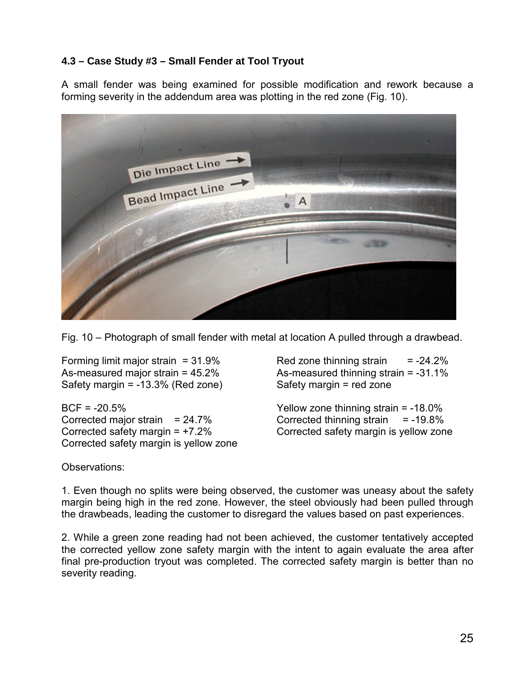### **4.3 – Case Study #3 – Small Fender at Tool Tryout**

A small fender was being examined for possible modification and rework because a forming severity in the addendum area was plotting in the red zone (Fig. 10).



Fig. 10 – Photograph of small fender with metal at location A pulled through a drawbead.

Safety margin = -13.3% (Red zone) Safety margin = red zone

BCF = -20.5% Yellow zone thinning strain = -18.0% Corrected major strain = 24.7% Corrected thinning strain = -19.8% Corrected safety margin = +7.2% Corrected safety margin is yellow zone Corrected safety margin is yellow zone

Forming limit major strain  $= 31.9\%$  Red zone thinning strain  $= -24.2\%$ As-measured major strain = 45.2% As-measured thinning strain = -31.1%

Observations:

1. Even though no splits were being observed, the customer was uneasy about the safety margin being high in the red zone. However, the steel obviously had been pulled through the drawbeads, leading the customer to disregard the values based on past experiences.

2. While a green zone reading had not been achieved, the customer tentatively accepted the corrected yellow zone safety margin with the intent to again evaluate the area after final pre-production tryout was completed. The corrected safety margin is better than no severity reading.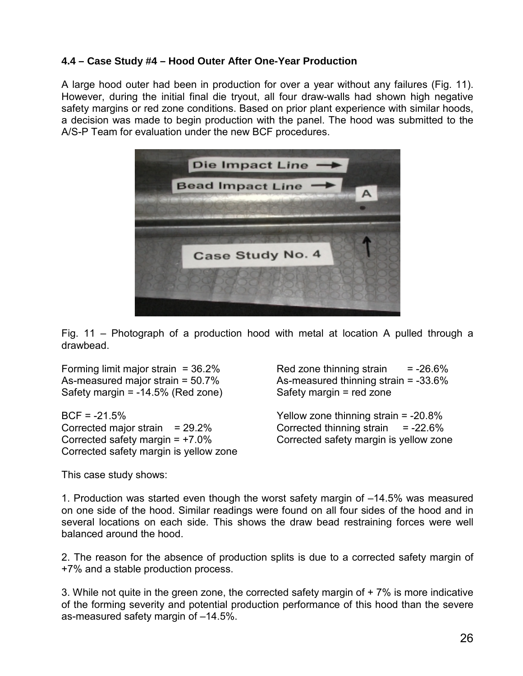#### **4.4 – Case Study #4 – Hood Outer After One-Year Production**

A large hood outer had been in production for over a year without any failures (Fig. 11). However, during the initial final die tryout, all four draw-walls had shown high negative safety margins or red zone conditions. Based on prior plant experience with similar hoods, a decision was made to begin production with the panel. The hood was submitted to the A/S-P Team for evaluation under the new BCF procedures.



Fig. 11 – Photograph of a production hood with metal at location A pulled through a drawbead.

Safety margin = -14.5% (Red zone) Safety margin = red zone

BCF = -21.5% Yellow zone thinning strain = -20.8% Corrected major strain = 29.2% Corrected thinning strain = -22.6% Corrected safety margin = +7.0% Corrected safety margin is yellow zone Corrected safety margin is yellow zone

Forming limit major strain  $= 36.2\%$  Red zone thinning strain  $= -26.6\%$ As-measured major strain = 50.7% As-measured thinning strain = -33.6%

This case study shows:

1. Production was started even though the worst safety margin of –14.5% was measured on one side of the hood. Similar readings were found on all four sides of the hood and in several locations on each side. This shows the draw bead restraining forces were well balanced around the hood.

2. The reason for the absence of production splits is due to a corrected safety margin of +7% and a stable production process.

3. While not quite in the green zone, the corrected safety margin of + 7% is more indicative of the forming severity and potential production performance of this hood than the severe as-measured safety margin of –14.5%.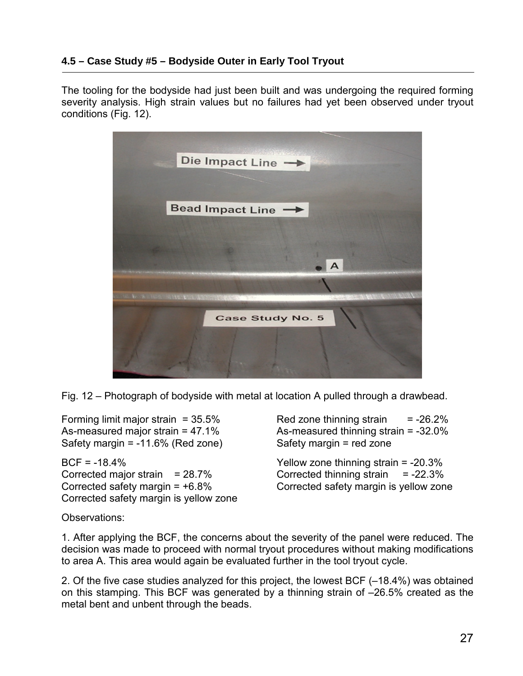### **4.5 – Case Study #5 – Bodyside Outer in Early Tool Tryout**

The tooling for the bodyside had just been built and was undergoing the required forming severity analysis. High strain values but no failures had yet been observed under tryout conditions (Fig. 12).



Fig. 12 – Photograph of bodyside with metal at location A pulled through a drawbead.

Safety margin = -11.6% (Red zone) Safety margin = red zone

BCF = -18.4% Yellow zone thinning strain = -20.3% Corrected major strain = 28.7% Corrected thinning strain = -22.3% Corrected safety margin = +6.8% Corrected safety margin is yellow zone Corrected safety margin is yellow zone

Forming limit major strain  $= 35.5\%$  Red zone thinning strain  $= -26.2\%$ As-measured major strain = 47.1% As-measured thinning strain = -32.0%

Observations:

1. After applying the BCF, the concerns about the severity of the panel were reduced. The decision was made to proceed with normal tryout procedures without making modifications to area A. This area would again be evaluated further in the tool tryout cycle.

2. Of the five case studies analyzed for this project, the lowest BCF (–18.4%) was obtained on this stamping. This BCF was generated by a thinning strain of –26.5% created as the metal bent and unbent through the beads.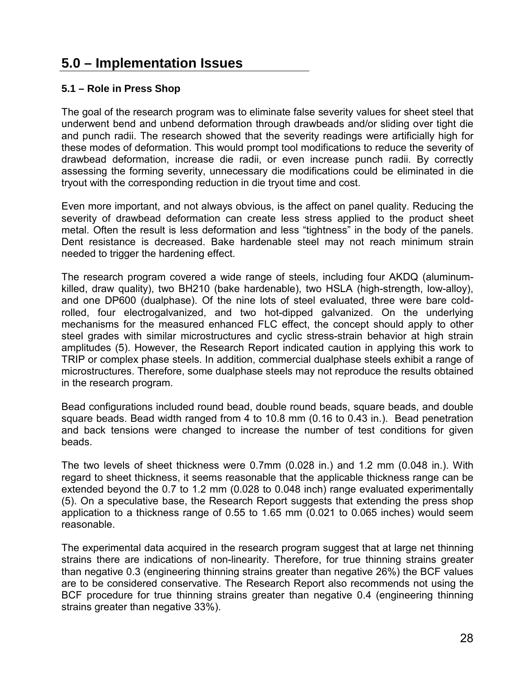## **5.0 – Implementation Issues**

#### **5.1 – Role in Press Shop**

The goal of the research program was to eliminate false severity values for sheet steel that underwent bend and unbend deformation through drawbeads and/or sliding over tight die and punch radii. The research showed that the severity readings were artificially high for these modes of deformation. This would prompt tool modifications to reduce the severity of drawbead deformation, increase die radii, or even increase punch radii. By correctly assessing the forming severity, unnecessary die modifications could be eliminated in die tryout with the corresponding reduction in die tryout time and cost.

Even more important, and not always obvious, is the affect on panel quality. Reducing the severity of drawbead deformation can create less stress applied to the product sheet metal. Often the result is less deformation and less "tightness" in the body of the panels. Dent resistance is decreased. Bake hardenable steel may not reach minimum strain needed to trigger the hardening effect.

The research program covered a wide range of steels, including four AKDQ (aluminumkilled, draw quality), two BH210 (bake hardenable), two HSLA (high-strength, low-alloy), and one DP600 (dualphase). Of the nine lots of steel evaluated, three were bare coldrolled, four electrogalvanized, and two hot-dipped galvanized. On the underlying mechanisms for the measured enhanced FLC effect, the concept should apply to other steel grades with similar microstructures and cyclic stress-strain behavior at high strain amplitudes (5). However, the Research Report indicated caution in applying this work to TRIP or complex phase steels. In addition, commercial dualphase steels exhibit a range of microstructures. Therefore, some dualphase steels may not reproduce the results obtained in the research program.

Bead configurations included round bead, double round beads, square beads, and double square beads. Bead width ranged from 4 to 10.8 mm (0.16 to 0.43 in.). Bead penetration and back tensions were changed to increase the number of test conditions for given beads.

The two levels of sheet thickness were 0.7mm (0.028 in.) and 1.2 mm (0.048 in.). With regard to sheet thickness, it seems reasonable that the applicable thickness range can be extended beyond the 0.7 to 1.2 mm (0.028 to 0.048 inch) range evaluated experimentally (5). On a speculative base, the Research Report suggests that extending the press shop application to a thickness range of 0.55 to 1.65 mm (0.021 to 0.065 inches) would seem reasonable.

The experimental data acquired in the research program suggest that at large net thinning strains there are indications of non-linearity. Therefore, for true thinning strains greater than negative 0.3 (engineering thinning strains greater than negative 26%) the BCF values are to be considered conservative. The Research Report also recommends not using the BCF procedure for true thinning strains greater than negative 0.4 (engineering thinning strains greater than negative 33%).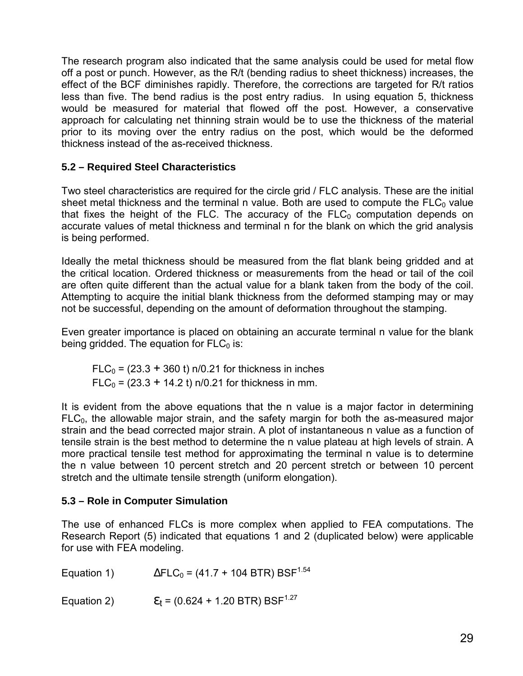The research program also indicated that the same analysis could be used for metal flow off a post or punch. However, as the R/t (bending radius to sheet thickness) increases, the effect of the BCF diminishes rapidly. Therefore, the corrections are targeted for R/t ratios less than five. The bend radius is the post entry radius. In using equation 5, thickness would be measured for material that flowed off the post. However, a conservative approach for calculating net thinning strain would be to use the thickness of the material prior to its moving over the entry radius on the post, which would be the deformed thickness instead of the as-received thickness.

#### **5.2 – Required Steel Characteristics**

Two steel characteristics are required for the circle grid / FLC analysis. These are the initial sheet metal thickness and the terminal n value. Both are used to compute the  $FLC<sub>0</sub>$  value that fixes the height of the FLC. The accuracy of the  $FLC<sub>0</sub>$  computation depends on accurate values of metal thickness and terminal n for the blank on which the grid analysis is being performed.

Ideally the metal thickness should be measured from the flat blank being gridded and at the critical location. Ordered thickness or measurements from the head or tail of the coil are often quite different than the actual value for a blank taken from the body of the coil. Attempting to acquire the initial blank thickness from the deformed stamping may or may not be successful, depending on the amount of deformation throughout the stamping.

Even greater importance is placed on obtaining an accurate terminal n value for the blank being gridded. The equation for  $FLC<sub>0</sub>$  is:

 $FLC<sub>0</sub> = (23.3 + 360 t)$  n/0.21 for thickness in inches  $FLC_0 = (23.3 + 14.2 t)$  n/0.21 for thickness in mm.

It is evident from the above equations that the n value is a major factor in determining  $FLC<sub>0</sub>$ , the allowable major strain, and the safety margin for both the as-measured major strain and the bead corrected major strain. A plot of instantaneous n value as a function of tensile strain is the best method to determine the n value plateau at high levels of strain. A more practical tensile test method for approximating the terminal n value is to determine the n value between 10 percent stretch and 20 percent stretch or between 10 percent stretch and the ultimate tensile strength (uniform elongation).

#### **5.3 – Role in Computer Simulation**

The use of enhanced FLCs is more complex when applied to FEA computations. The Research Report (5) indicated that equations 1 and 2 (duplicated below) were applicable for use with FEA modeling.

Equation 1)  $\Delta F LC_0 = (41.7 + 104 \text{ BTR}) \text{ BSF}^{1.54}$ 

Equation 2)  $\epsilon_t = (0.624 + 1.20 \text{ BTR}) \text{ BSF}^{1.27}$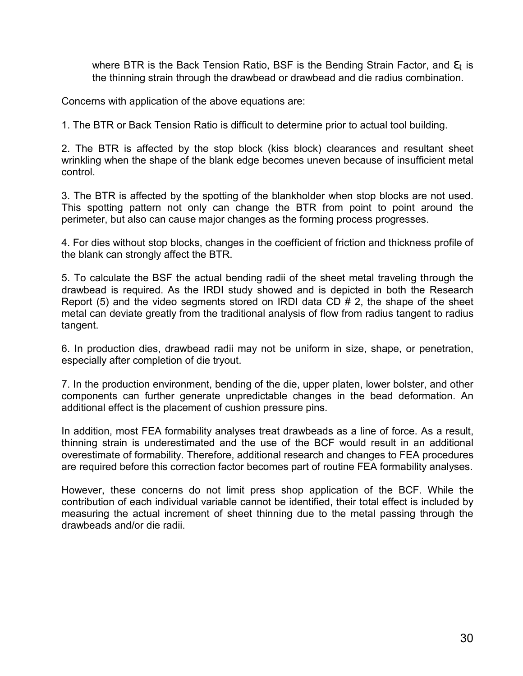where BTR is the Back Tension Ratio, BSF is the Bending Strain Factor, and  $\varepsilon_t$  is the thinning strain through the drawbead or drawbead and die radius combination.

Concerns with application of the above equations are:

1. The BTR or Back Tension Ratio is difficult to determine prior to actual tool building.

2. The BTR is affected by the stop block (kiss block) clearances and resultant sheet wrinkling when the shape of the blank edge becomes uneven because of insufficient metal control.

3. The BTR is affected by the spotting of the blankholder when stop blocks are not used. This spotting pattern not only can change the BTR from point to point around the perimeter, but also can cause major changes as the forming process progresses.

4. For dies without stop blocks, changes in the coefficient of friction and thickness profile of the blank can strongly affect the BTR.

5. To calculate the BSF the actual bending radii of the sheet metal traveling through the drawbead is required. As the IRDI study showed and is depicted in both the Research Report (5) and the video segments stored on IRDI data CD # 2, the shape of the sheet metal can deviate greatly from the traditional analysis of flow from radius tangent to radius tangent.

6. In production dies, drawbead radii may not be uniform in size, shape, or penetration, especially after completion of die tryout.

7. In the production environment, bending of the die, upper platen, lower bolster, and other components can further generate unpredictable changes in the bead deformation. An additional effect is the placement of cushion pressure pins.

In addition, most FEA formability analyses treat drawbeads as a line of force. As a result, thinning strain is underestimated and the use of the BCF would result in an additional overestimate of formability. Therefore, additional research and changes to FEA procedures are required before this correction factor becomes part of routine FEA formability analyses.

However, these concerns do not limit press shop application of the BCF. While the contribution of each individual variable cannot be identified, their total effect is included by measuring the actual increment of sheet thinning due to the metal passing through the drawbeads and/or die radii.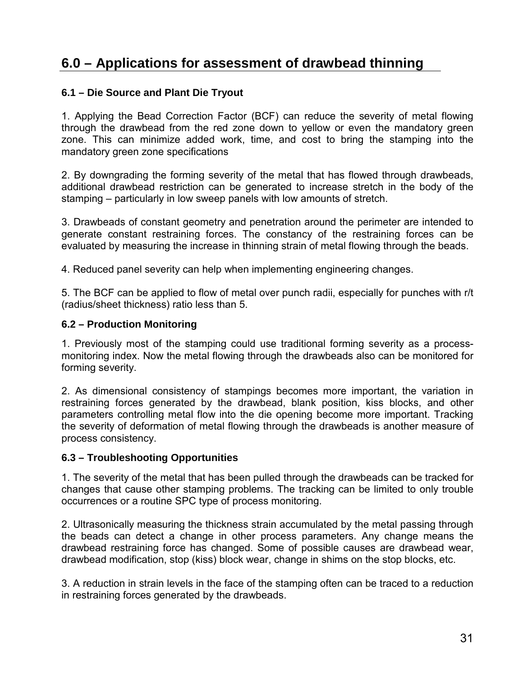# **6.0 – Applications for assessment of drawbead thinning**

#### **6.1 – Die Source and Plant Die Tryout**

1. Applying the Bead Correction Factor (BCF) can reduce the severity of metal flowing through the drawbead from the red zone down to yellow or even the mandatory green zone. This can minimize added work, time, and cost to bring the stamping into the mandatory green zone specifications

2. By downgrading the forming severity of the metal that has flowed through drawbeads, additional drawbead restriction can be generated to increase stretch in the body of the stamping – particularly in low sweep panels with low amounts of stretch.

3. Drawbeads of constant geometry and penetration around the perimeter are intended to generate constant restraining forces. The constancy of the restraining forces can be evaluated by measuring the increase in thinning strain of metal flowing through the beads.

4. Reduced panel severity can help when implementing engineering changes.

5. The BCF can be applied to flow of metal over punch radii, especially for punches with r/t (radius/sheet thickness) ratio less than 5.

#### **6.2 – Production Monitoring**

1. Previously most of the stamping could use traditional forming severity as a processmonitoring index. Now the metal flowing through the drawbeads also can be monitored for forming severity.

2. As dimensional consistency of stampings becomes more important, the variation in restraining forces generated by the drawbead, blank position, kiss blocks, and other parameters controlling metal flow into the die opening become more important. Tracking the severity of deformation of metal flowing through the drawbeads is another measure of process consistency.

#### **6.3 – Troubleshooting Opportunities**

1. The severity of the metal that has been pulled through the drawbeads can be tracked for changes that cause other stamping problems. The tracking can be limited to only trouble occurrences or a routine SPC type of process monitoring.

2. Ultrasonically measuring the thickness strain accumulated by the metal passing through the beads can detect a change in other process parameters. Any change means the drawbead restraining force has changed. Some of possible causes are drawbead wear, drawbead modification, stop (kiss) block wear, change in shims on the stop blocks, etc.

3. A reduction in strain levels in the face of the stamping often can be traced to a reduction in restraining forces generated by the drawbeads.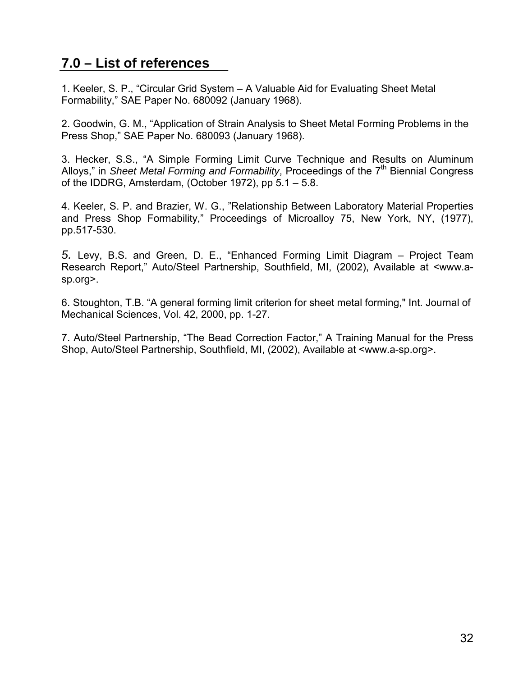# **7.0 – List of references**

1. Keeler, S. P., "Circular Grid System – A Valuable Aid for Evaluating Sheet Metal Formability," SAE Paper No. 680092 (January 1968).

2. Goodwin, G. M., "Application of Strain Analysis to Sheet Metal Forming Problems in the Press Shop," SAE Paper No. 680093 (January 1968).

3. Hecker, S.S., "A Simple Forming Limit Curve Technique and Results on Aluminum Alloys," in *Sheet Metal Forming and Formability*, Proceedings of the 7<sup>th</sup> Biennial Congress of the IDDRG, Amsterdam, (October 1972), pp 5.1 – 5.8.

4. Keeler, S. P. and Brazier, W. G., "Relationship Between Laboratory Material Properties and Press Shop Formability," Proceedings of Microalloy 75, New York, NY, (1977), pp.517-530.

*5.* Levy, B.S. and Green, D. E., "Enhanced Forming Limit Diagram – Project Team Research Report," Auto/Steel Partnership, Southfield, MI, (2002), Available at <www.asp.org>.

6. Stoughton, T.B. "A general forming limit criterion for sheet metal forming," Int. Journal of Mechanical Sciences, Vol. 42, 2000, pp. 1-27.

7. Auto/Steel Partnership, "The Bead Correction Factor," A Training Manual for the Press Shop, Auto/Steel Partnership, Southfield, MI, (2002), Available at <www.a-sp.org>.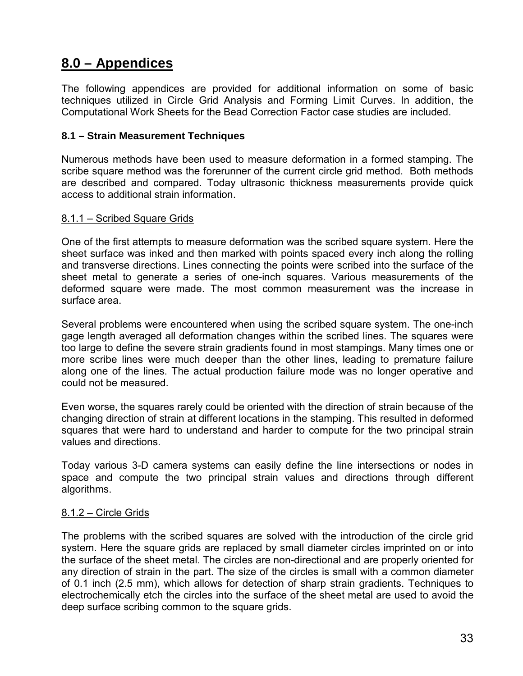## **8.0 – Appendices**

The following appendices are provided for additional information on some of basic techniques utilized in Circle Grid Analysis and Forming Limit Curves. In addition, the Computational Work Sheets for the Bead Correction Factor case studies are included.

#### **8.1 – Strain Measurement Techniques**

Numerous methods have been used to measure deformation in a formed stamping. The scribe square method was the forerunner of the current circle grid method. Both methods are described and compared. Today ultrasonic thickness measurements provide quick access to additional strain information.

#### 8.1.1 – Scribed Square Grids

One of the first attempts to measure deformation was the scribed square system. Here the sheet surface was inked and then marked with points spaced every inch along the rolling and transverse directions. Lines connecting the points were scribed into the surface of the sheet metal to generate a series of one-inch squares. Various measurements of the deformed square were made. The most common measurement was the increase in surface area.

Several problems were encountered when using the scribed square system. The one-inch gage length averaged all deformation changes within the scribed lines. The squares were too large to define the severe strain gradients found in most stampings. Many times one or more scribe lines were much deeper than the other lines, leading to premature failure along one of the lines. The actual production failure mode was no longer operative and could not be measured.

Even worse, the squares rarely could be oriented with the direction of strain because of the changing direction of strain at different locations in the stamping. This resulted in deformed squares that were hard to understand and harder to compute for the two principal strain values and directions.

Today various 3-D camera systems can easily define the line intersections or nodes in space and compute the two principal strain values and directions through different algorithms.

### 8.1.2 – Circle Grids

The problems with the scribed squares are solved with the introduction of the circle grid system. Here the square grids are replaced by small diameter circles imprinted on or into the surface of the sheet metal. The circles are non-directional and are properly oriented for any direction of strain in the part. The size of the circles is small with a common diameter of 0.1 inch (2.5 mm), which allows for detection of sharp strain gradients. Techniques to electrochemically etch the circles into the surface of the sheet metal are used to avoid the deep surface scribing common to the square grids.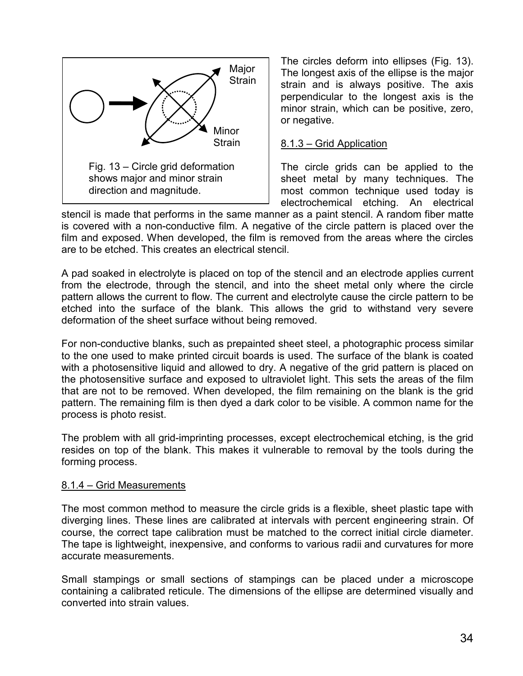

The circles deform into ellipses (Fig. 13). The longest axis of the ellipse is the major strain and is always positive. The axis perpendicular to the longest axis is the minor strain, which can be positive, zero, or negative.

### 8.1.3 – Grid Application

The circle grids can be applied to the sheet metal by many techniques. The most common technique used today is electrochemical etching. An electrical

stencil is made that performs in the same manner as a paint stencil. A random fiber matte is covered with a non-conductive film. A negative of the circle pattern is placed over the film and exposed. When developed, the film is removed from the areas where the circles are to be etched. This creates an electrical stencil.

A pad soaked in electrolyte is placed on top of the stencil and an electrode applies current from the electrode, through the stencil, and into the sheet metal only where the circle pattern allows the current to flow. The current and electrolyte cause the circle pattern to be etched into the surface of the blank. This allows the grid to withstand very severe deformation of the sheet surface without being removed.

For non-conductive blanks, such as prepainted sheet steel, a photographic process similar to the one used to make printed circuit boards is used. The surface of the blank is coated with a photosensitive liquid and allowed to dry. A negative of the grid pattern is placed on the photosensitive surface and exposed to ultraviolet light. This sets the areas of the film that are not to be removed. When developed, the film remaining on the blank is the grid pattern. The remaining film is then dyed a dark color to be visible. A common name for the process is photo resist.

The problem with all grid-imprinting processes, except electrochemical etching, is the grid resides on top of the blank. This makes it vulnerable to removal by the tools during the forming process.

### 8.1.4 – Grid Measurements

The most common method to measure the circle grids is a flexible, sheet plastic tape with diverging lines. These lines are calibrated at intervals with percent engineering strain. Of course, the correct tape calibration must be matched to the correct initial circle diameter. The tape is lightweight, inexpensive, and conforms to various radii and curvatures for more accurate measurements.

Small stampings or small sections of stampings can be placed under a microscope containing a calibrated reticule. The dimensions of the ellipse are determined visually and converted into strain values.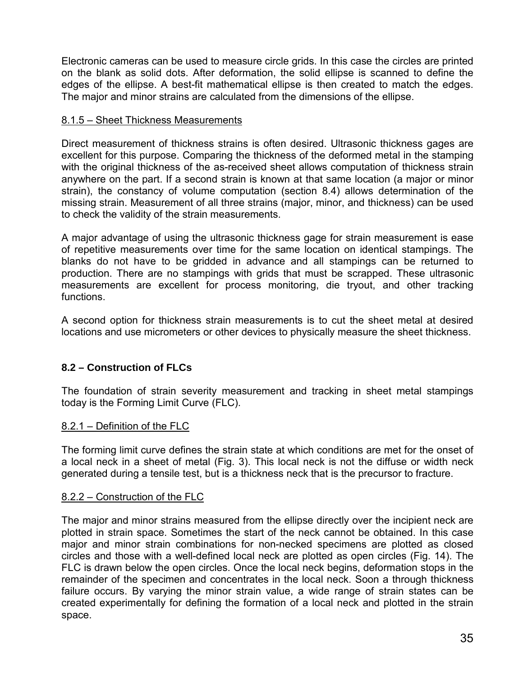Electronic cameras can be used to measure circle grids. In this case the circles are printed on the blank as solid dots. After deformation, the solid ellipse is scanned to define the edges of the ellipse. A best-fit mathematical ellipse is then created to match the edges. The major and minor strains are calculated from the dimensions of the ellipse.

#### 8.1.5 – Sheet Thickness Measurements

Direct measurement of thickness strains is often desired. Ultrasonic thickness gages are excellent for this purpose. Comparing the thickness of the deformed metal in the stamping with the original thickness of the as-received sheet allows computation of thickness strain anywhere on the part. If a second strain is known at that same location (a major or minor strain), the constancy of volume computation (section 8.4) allows determination of the missing strain. Measurement of all three strains (major, minor, and thickness) can be used to check the validity of the strain measurements.

A major advantage of using the ultrasonic thickness gage for strain measurement is ease of repetitive measurements over time for the same location on identical stampings. The blanks do not have to be gridded in advance and all stampings can be returned to production. There are no stampings with grids that must be scrapped. These ultrasonic measurements are excellent for process monitoring, die tryout, and other tracking functions.

A second option for thickness strain measurements is to cut the sheet metal at desired locations and use micrometers or other devices to physically measure the sheet thickness.

### **8.2 – Construction of FLCs**

The foundation of strain severity measurement and tracking in sheet metal stampings today is the Forming Limit Curve (FLC).

### 8.2.1 – Definition of the FLC

The forming limit curve defines the strain state at which conditions are met for the onset of a local neck in a sheet of metal (Fig. 3). This local neck is not the diffuse or width neck generated during a tensile test, but is a thickness neck that is the precursor to fracture.

#### 8.2.2 – Construction of the FLC

The major and minor strains measured from the ellipse directly over the incipient neck are plotted in strain space. Sometimes the start of the neck cannot be obtained. In this case major and minor strain combinations for non-necked specimens are plotted as closed circles and those with a well-defined local neck are plotted as open circles (Fig. 14). The FLC is drawn below the open circles. Once the local neck begins, deformation stops in the remainder of the specimen and concentrates in the local neck. Soon a through thickness failure occurs. By varying the minor strain value, a wide range of strain states can be created experimentally for defining the formation of a local neck and plotted in the strain space.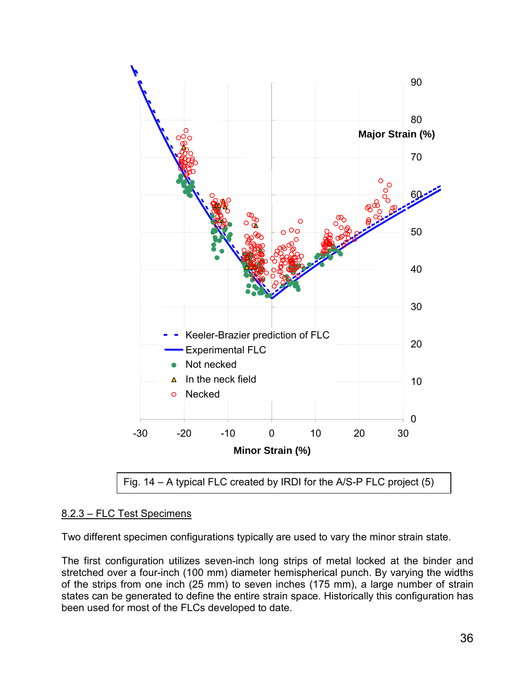

### 8.2.3 – FLC Test Specimens

Two different specimen configurations typically are used to vary the minor strain state.

The first configuration utilizes seven-inch long strips of metal locked at the binder and stretched over a four-inch (100 mm) diameter hemispherical punch. By varying the widths of the strips from one inch (25 mm) to seven inches (175 mm), a large number of strain states can be generated to define the entire strain space. Historically this configuration has been used for most of the FLCs developed to date.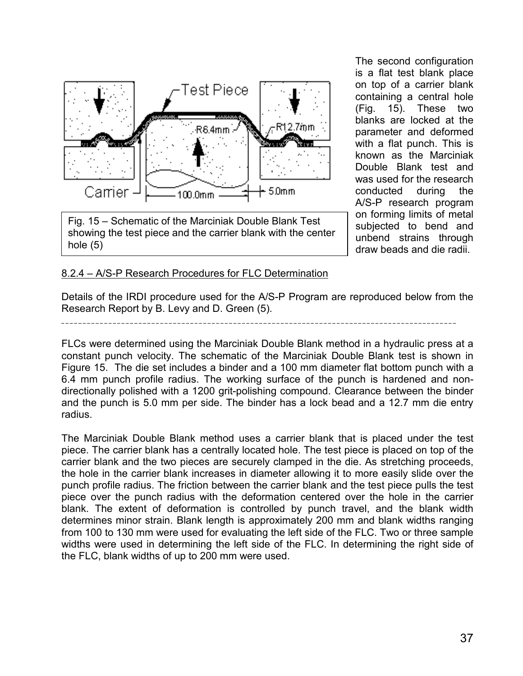

Fig. 15 – Schematic of the Marciniak Double Blank Test showing the test piece and the carrier blank with the center hole (5)

The second configuration is a flat test blank place on top of a carrier blank containing a central hole (Fig. 15). These two blanks are locked at the parameter and deformed with a flat punch. This is known as the Marciniak Double Blank test and was used for the research conducted during the A/S-P research program on forming limits of metal subjected to bend and unbend strains through draw beads and die radii.

#### 8.2.4 – A/S-P Research Procedures for FLC Determination

Details of the IRDI procedure used for the A/S-P Program are reproduced below from the Research Report by B. Levy and D. Green (5).

FLCs were determined using the Marciniak Double Blank method in a hydraulic press at a constant punch velocity. The schematic of the Marciniak Double Blank test is shown in Figure 15. The die set includes a binder and a 100 mm diameter flat bottom punch with a 6.4 mm punch profile radius. The working surface of the punch is hardened and nondirectionally polished with a 1200 grit-polishing compound. Clearance between the binder and the punch is 5.0 mm per side. The binder has a lock bead and a 12.7 mm die entry radius.

The Marciniak Double Blank method uses a carrier blank that is placed under the test piece. The carrier blank has a centrally located hole. The test piece is placed on top of the carrier blank and the two pieces are securely clamped in the die. As stretching proceeds, the hole in the carrier blank increases in diameter allowing it to more easily slide over the punch profile radius. The friction between the carrier blank and the test piece pulls the test piece over the punch radius with the deformation centered over the hole in the carrier blank. The extent of deformation is controlled by punch travel, and the blank width determines minor strain. Blank length is approximately 200 mm and blank widths ranging from 100 to 130 mm were used for evaluating the left side of the FLC. Two or three sample widths were used in determining the left side of the FLC. In determining the right side of the FLC, blank widths of up to 200 mm were used.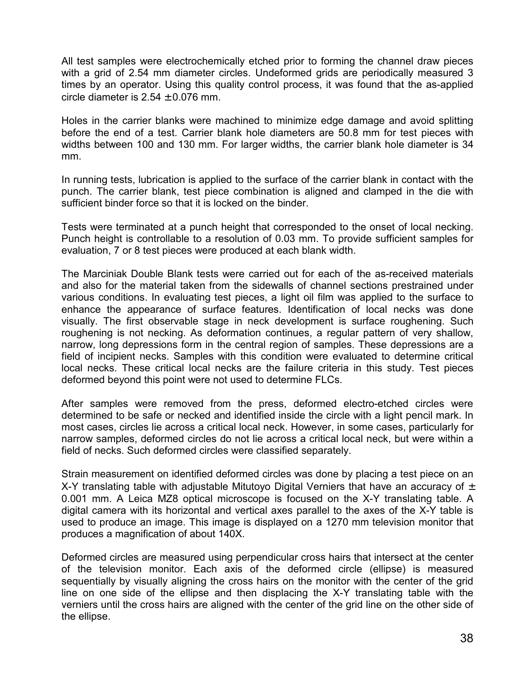All test samples were electrochemically etched prior to forming the channel draw pieces with a grid of 2.54 mm diameter circles. Undeformed grids are periodically measured 3 times by an operator. Using this quality control process, it was found that the as-applied circle diameter is  $2.54 \pm 0.076$  mm.

Holes in the carrier blanks were machined to minimize edge damage and avoid splitting before the end of a test. Carrier blank hole diameters are 50.8 mm for test pieces with widths between 100 and 130 mm. For larger widths, the carrier blank hole diameter is 34 mm.

In running tests, lubrication is applied to the surface of the carrier blank in contact with the punch. The carrier blank, test piece combination is aligned and clamped in the die with sufficient binder force so that it is locked on the binder.

Tests were terminated at a punch height that corresponded to the onset of local necking. Punch height is controllable to a resolution of 0.03 mm. To provide sufficient samples for evaluation, 7 or 8 test pieces were produced at each blank width.

The Marciniak Double Blank tests were carried out for each of the as-received materials and also for the material taken from the sidewalls of channel sections prestrained under various conditions. In evaluating test pieces, a light oil film was applied to the surface to enhance the appearance of surface features. Identification of local necks was done visually. The first observable stage in neck development is surface roughening. Such roughening is not necking. As deformation continues, a regular pattern of very shallow, narrow, long depressions form in the central region of samples. These depressions are a field of incipient necks. Samples with this condition were evaluated to determine critical local necks. These critical local necks are the failure criteria in this study. Test pieces deformed beyond this point were not used to determine FLCs.

After samples were removed from the press, deformed electro-etched circles were determined to be safe or necked and identified inside the circle with a light pencil mark. In most cases, circles lie across a critical local neck. However, in some cases, particularly for narrow samples, deformed circles do not lie across a critical local neck, but were within a field of necks. Such deformed circles were classified separately.

Strain measurement on identified deformed circles was done by placing a test piece on an X-Y translating table with adjustable Mitutoyo Digital Verniers that have an accuracy of  $\pm$ 0.001 mm. A Leica MZ8 optical microscope is focused on the X-Y translating table. A digital camera with its horizontal and vertical axes parallel to the axes of the X-Y table is used to produce an image. This image is displayed on a 1270 mm television monitor that produces a magnification of about 140X.

Deformed circles are measured using perpendicular cross hairs that intersect at the center of the television monitor. Each axis of the deformed circle (ellipse) is measured sequentially by visually aligning the cross hairs on the monitor with the center of the grid line on one side of the ellipse and then displacing the X-Y translating table with the verniers until the cross hairs are aligned with the center of the grid line on the other side of the ellipse.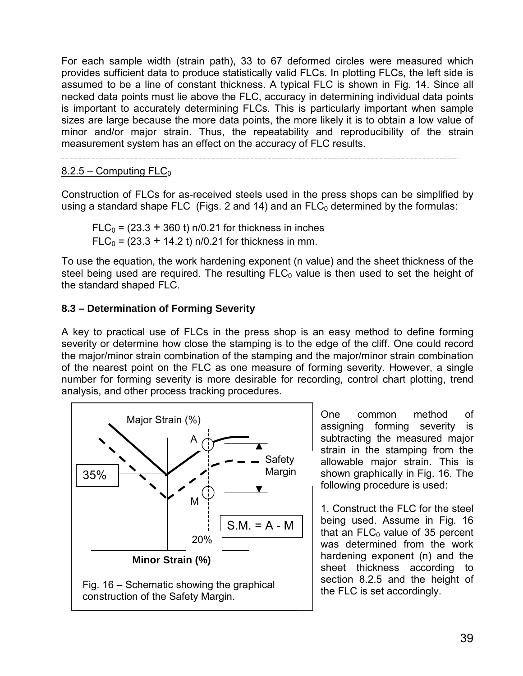For each sample width (strain path), 33 to 67 deformed circles were measured which provides sufficient data to produce statistically valid FLCs. In plotting FLCs, the left side is assumed to be a line of constant thickness. A typical FLC is shown in Fig. 14. Since all necked data points must lie above the FLC, accuracy in determining individual data points is important to accurately determining FLCs. This is particularly important when sample sizes are large because the more data points, the more likely it is to obtain a low value of minor and/or major strain. Thus, the repeatability and reproducibility of the strain measurement system has an effect on the accuracy of FLC results.

#### $8.2.5 -$  Computing FLC<sub>0</sub>

Construction of FLCs for as-received steels used in the press shops can be simplified by using a standard shape FLC (Figs. 2 and 14) and an  $FLC<sub>0</sub>$  determined by the formulas:

 $FLC<sub>0</sub> = (23.3 + 360 t)$  n/0.21 for thickness in inches  $FLC_0 = (23.3 + 14.2 t)$  n/0.21 for thickness in mm.

To use the equation, the work hardening exponent (n value) and the sheet thickness of the steel being used are required. The resulting  $FLC<sub>0</sub>$  value is then used to set the height of the standard shaped FLC.

#### **8.3 – Determination of Forming Severity**

A key to practical use of FLCs in the press shop is an easy method to define forming severity or determine how close the stamping is to the edge of the cliff. One could record the major/minor strain combination of the stamping and the major/minor strain combination of the nearest point on the FLC as one measure of forming severity. However, a single number for forming severity is more desirable for recording, control chart plotting, trend analysis, and other process tracking procedures.



One common method of assigning forming severity is subtracting the measured major strain in the stamping from the allowable major strain. This is shown graphically in Fig. 16. The following procedure is used:

1. Construct the FLC for the steel being used. Assume in Fig. 16 that an  $FLC<sub>0</sub>$  value of 35 percent was determined from the work hardening exponent (n) and the sheet thickness according to section 8.2.5 and the height of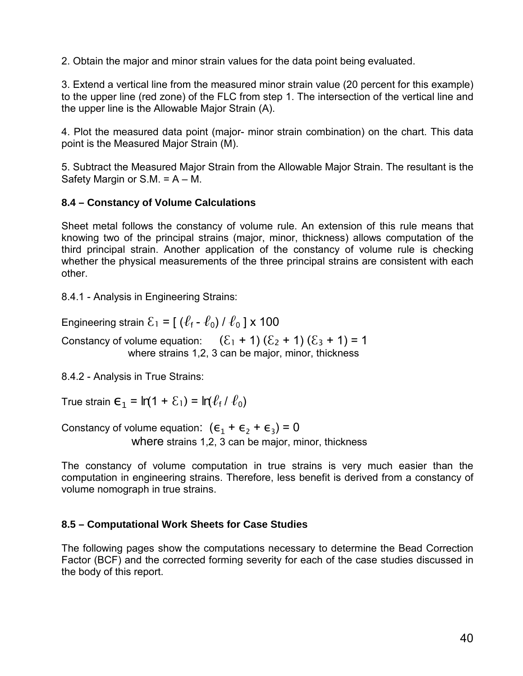2. Obtain the major and minor strain values for the data point being evaluated.

3. Extend a vertical line from the measured minor strain value (20 percent for this example) to the upper line (red zone) of the FLC from step 1. The intersection of the vertical line and the upper line is the Allowable Major Strain (A).

4. Plot the measured data point (major- minor strain combination) on the chart. This data point is the Measured Major Strain (M).

5. Subtract the Measured Major Strain from the Allowable Major Strain. The resultant is the Safety Margin or  $S.M. = A - M$ .

### **8.4 – Constancy of Volume Calculations**

Sheet metal follows the constancy of volume rule. An extension of this rule means that knowing two of the principal strains (major, minor, thickness) allows computation of the third principal strain. Another application of the constancy of volume rule is checking whether the physical measurements of the three principal strains are consistent with each other.

8.4.1 - Analysis in Engineering Strains:

Engineering strain  $\mathcal{E}_1 = [(\ell_f - \ell_0)/\ell_0] \times 100$ 

Constancy of volume equation:  $(\xi_1 + 1) (\xi_2 + 1) (\xi_3 + 1) = 1$ where strains 1,2, 3 can be major, minor, thickness

8.4.2 - Analysis in True Strains:

True strain  $\epsilon_1 = ln(1 + \epsilon_1) = ln(\ell_f / \ell_0)$ 

Constancy of volume equation:  $(\epsilon_1 + \epsilon_2 + \epsilon_3) = 0$ where strains 1,2, 3 can be major, minor, thickness

The constancy of volume computation in true strains is very much easier than the computation in engineering strains. Therefore, less benefit is derived from a constancy of volume nomograph in true strains.

### **8.5 – Computational Work Sheets for Case Studies**

The following pages show the computations necessary to determine the Bead Correction Factor (BCF) and the corrected forming severity for each of the case studies discussed in the body of this report.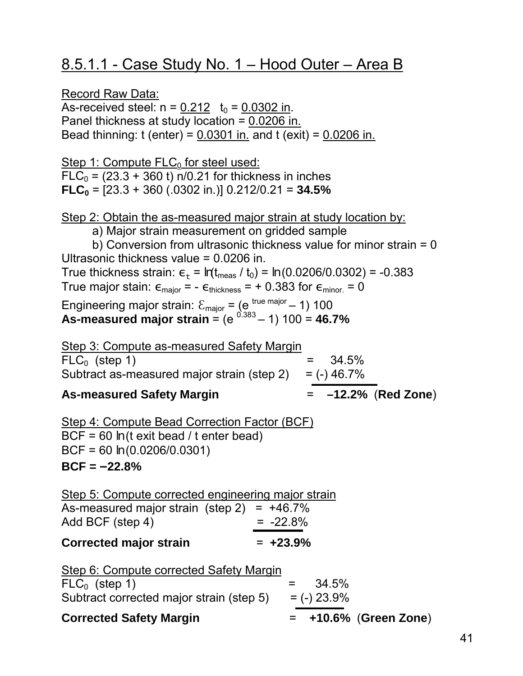# 8.5.1.1 - Case Study No. 1 – Hood Outer – Area B

Record Raw Data:

As-received steel:  $n = 0.212$  t<sub>0</sub> = 0.0302 in. Panel thickness at study location =  $0.0206$  in. Bead thinning: t (enter) = 0.0301 in. and t (exit) = 0.0206 in.

Step 1: Compute  $FLC<sub>0</sub>$  for steel used:  $FLC<sub>0</sub> = (23.3 + 360 t)$  n/0.21 for thickness in inches **FLC<sub>0</sub>** =  $[23.3 + 360 (.0302 in.)]$  0.212/0.21 = **34.5%** 

Step 2: Obtain the as-measured major strain at study location by:

a) Major strain measurement on gridded sample

b) Conversion from ultrasonic thickness value for minor strain = 0 Ultrasonic thickness value = 0.0206 in. True thickness strain:  $\epsilon_t = ln(t_{\text{meas}} / t_0) = ln (0.0206/0.0302) = -0.383$ True major stain:  $\epsilon_{\text{major}} = -\epsilon_{\text{thickness}} = +0.383$  for  $\epsilon_{\text{minor}} = 0$ Engineering major strain:  $\mathcal{E}_{\text{major}} = (e^{ \text{ true major}} - 1)$  100 As-measured major strain =  $(e^{0.383} - 1)$  100 = 46.7%

| Step 3: Compute as-measured Safety Margin<br>$FLC_0$ (step 1)<br>Subtract as-measured major strain (step 2) $=$ (-) 46.7%<br><b>As-measured Safety Margin</b>                                    | $= 34.5\%$<br>$= -12.2\%$ (Red Zone) |  |  |  |  |
|--------------------------------------------------------------------------------------------------------------------------------------------------------------------------------------------------|--------------------------------------|--|--|--|--|
| <u>Step 4: Compute Bead Correction Factor (BCF)</u><br>BCF = 60 $ln$ (t exit bead / t enter bead)<br>BCF = 60 $ln(0.0206/0.0301)$<br>$BCF = -22.8%$                                              |                                      |  |  |  |  |
| Step 5: Compute corrected engineering major strain<br>As-measured major strain (step 2) = $+46.7\%$<br>Add BCF (step 4)                                                                          | $= -22.8%$                           |  |  |  |  |
| Corrected major strain                                                                                                                                                                           | $= +23.9%$                           |  |  |  |  |
| Step 6: Compute corrected Safety Margin<br>$= 34.5\%$<br>$FLC_0$ (step 1)<br>Subtract corrected major strain (step 5) $=$ (-) 23.9%<br>$=$ +10.6% (Green Zone)<br><b>Corrected Safety Margin</b> |                                      |  |  |  |  |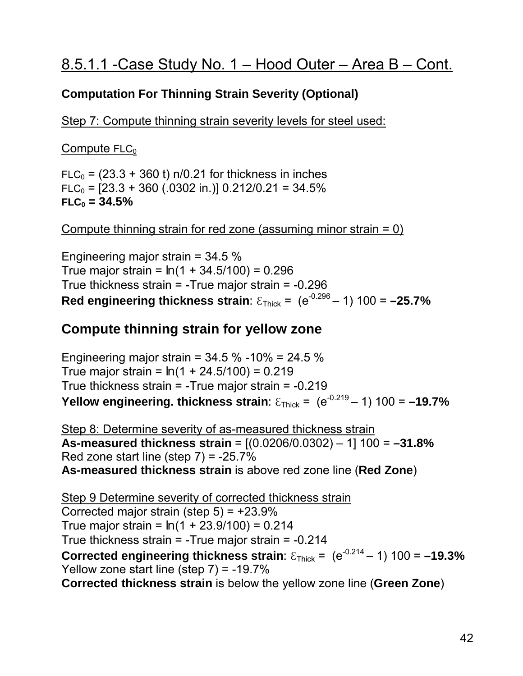## **Computation For Thinning Strain Severity (Optional)**

Step 7: Compute thinning strain severity levels for steel used:

 $Compute$  FLC $_0$ 

 $FLC<sub>0</sub> = (23.3 + 360 t)$  n/0.21 for thickness in inches  $FLC_0 = [23.3 + 360 (.0302 in.)]$  0.212/0.21 = 34.5%  $FLC<sub>0</sub> = 34.5%$ 

Compute thinning strain for red zone (assuming minor strain = 0)

Engineering major strain = 34.5 % True major strain = *ln* (1 + 34.5/100) = 0.296 True thickness strain = -True major strain = -0.296 Red engineering thickness strain:  $\epsilon_{\text{Thick}} = (e^{-0.296} - 1)$  100 = -25.7%

## **Compute thinning strain for yellow zone**

Engineering major strain =  $34.5\%$  -10% =  $24.5\%$ True major strain = *ln* (1 + 24.5/100) = 0.219 True thickness strain = -True major strain = -0.219 **Yellow engineering. thickness strain**:  $\epsilon_{\text{Thick}} = (e^{-0.219} - 1)$  100 = -19.7%

Step 8: Determine severity of as-measured thickness strain **As-measured thickness strain** = [(0.0206/0.0302) – 1] 100 = **–31.8%** Red zone start line (step  $7$ ) =  $-25.7\%$ **As-measured thickness strain** is above red zone line (**Red Zone**)

Step 9 Determine severity of corrected thickness strain Corrected major strain (step  $5$ ) =  $+23.9\%$ True major strain = *ln* (1 + 23.9/100) = 0.214 True thickness strain = -True major strain = -0.214 **Corrected engineering thickness strain**:  $\epsilon_{\text{Thick}} = (e^{-0.214} - 1)$  100 = -19.3% Yellow zone start line (step 7) = -19.7% **Corrected thickness strain** is below the yellow zone line (**Green Zone**)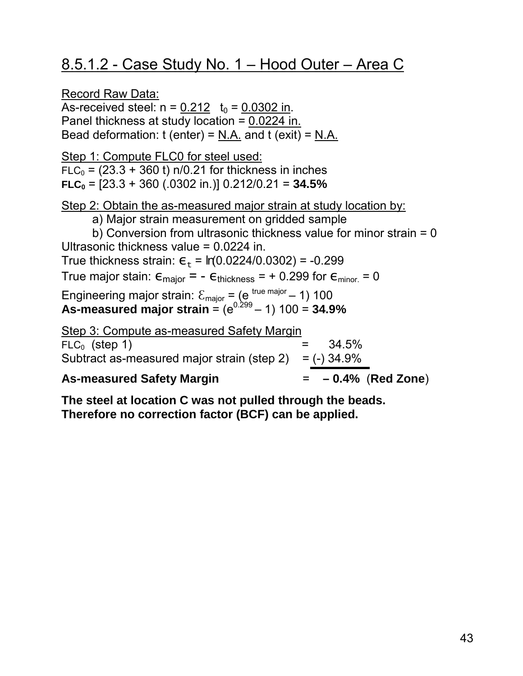# 8.5.1.2 - Case Study No. 1 – Hood Outer – Area C

Record Raw Data: As-received steel:  $n = 0.212$  t<sub>0</sub> = 0.0302 in. Panel thickness at study location =  $0.0224$  in. Bead deformation:  $t$  (enter) = N.A. and  $t$  (exit) = N.A. Step 1: Compute FLC0 for steel used:  $FLC<sub>0</sub> = (23.3 + 360 t) n/0.21$  for thickness in inches  $FLC<sub>0</sub> = [23.3 + 360 (.0302 in.)]$  0.212/0.21 = **34.5%** Step 2: Obtain the as-measured major strain at study location by: a) Major strain measurement on gridded sample b) Conversion from ultrasonic thickness value for minor strain = 0 Ultrasonic thickness value = 0.0224 in. True thickness strain:  $\varepsilon_{\text{t}} = ln(0.0224/0.0302) = -0.299$ True major stain:  $\epsilon_{\text{major}} = -\epsilon_{\text{thickness}} = +0.299$  for  $\epsilon_{\text{minor}} = 0$ Engineering major strain:  $\mathcal{E}_{\text{major}} = (e^{ \text{ true major}} - 1)$  100 As-measured major strain =  $(e^{0.299} - 1)$  100 = 34.9% Step 3: Compute as-measured Safety Margin  $FLC_0$  (step 1)  $= 34.5\%$ Subtract as-measured major strain (step  $2$ ) = (-) 34.9% **As-measured Safety Margin** = **– 0.4%** (**Red Zone**)

**The steel at location C was not pulled through the beads. Therefore no correction factor (BCF) can be applied.**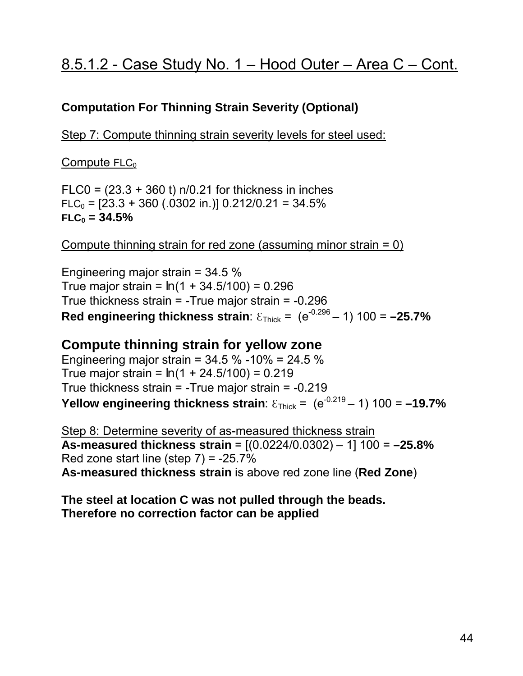# 8.5.1.2 - Case Study No. 1 – Hood Outer – Area C – Cont.

### **Computation For Thinning Strain Severity (Optional)**

Step 7: Compute thinning strain severity levels for steel used:

Compute  $FLC<sub>0</sub>$ 

 $F<sub>LC0</sub> = (23.3 + 360 t) n/0.21$  for thickness in inches  $FLC_0 = [23.3 + 360 (.0302 in.)] 0.212/0.21 = 34.5\%$  $FLC<sub>0</sub> = 34.5%$ 

Compute thinning strain for red zone (assuming minor strain = 0)

Engineering major strain = 34.5 % True major strain = *ln* (1 + 34.5/100) = 0.296 True thickness strain = -True major strain = -0.296 Red engineering thickness strain:  $\epsilon_{\text{Thick}} = (e^{-0.296} - 1)$  100 = -25.7%

### **Compute thinning strain for yellow zone**

Engineering major strain =  $34.5$  % -10% =  $24.5$  % True major strain = *ln* (1 + 24.5/100) = 0.219 True thickness strain = -True major strain = -0.219 **Yellow engineering thickness strain**:  $\epsilon_{\text{Thick}} = (e^{-0.219} - 1)$  100 = -19.7%

Step 8: Determine severity of as-measured thickness strain **As-measured thickness strain** = [(0.0224/0.0302) – 1] 100 = **–25.8%** Red zone start line (step  $7$ ) =  $-25.7\%$ **As-measured thickness strain** is above red zone line (**Red Zone**)

**The steel at location C was not pulled through the beads. Therefore no correction factor can be applied**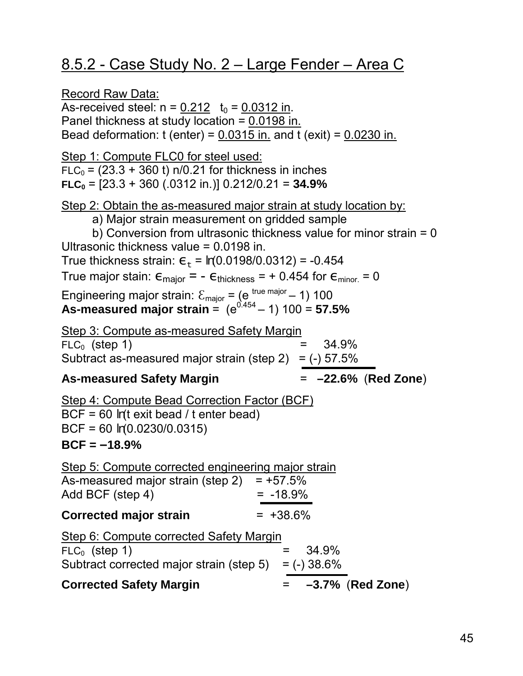# 8.5.2 - Case Study No. 2 – Large Fender – Area C

Record Raw Data: As-received steel:  $n = 0.212$   $t_0 = 0.0312$  in. Panel thickness at study location =  $0.0198$  in. Bead deformation:  $t$  (enter) = 0.0315 in. and  $t$  (exit) = 0.0230 in. Step 1: Compute FLC0 for steel used:  $FLC<sub>0</sub> = (23.3 + 360 t)$  n/0.21 for thickness in inches  $FLC<sub>0</sub> = [23.3 + 360 (.0312 in.)] 0.212/0.21 = 34.9%$ Step 2: Obtain the as-measured major strain at study location by: a) Major strain measurement on gridded sample b) Conversion from ultrasonic thickness value for minor strain = 0 Ultrasonic thickness value = 0.0198 in. True thickness strain:  $\varepsilon_{\text{t}} = ln(0.0198/0.0312) = -0.454$ True major stain:  $\epsilon_{\text{major}} = -\epsilon_{\text{thickness}} = +0.454$  for  $\epsilon_{\text{minor}} = 0$ Engineering major strain:  $\mathcal{E}_{\text{major}} = (e^{ \text{ true major}} - 1)$  100 As-measured major strain =  $(e^{0.454} - 1)$  100 = 57.5% Step 3: Compute as-measured Safety Margin  $FLC_0$  (step 1)  $= 34.9\%$ Subtract as-measured major strain (step 2) =  $(-)$  57.5% **As-measured Safety Margin** = **–22.6%** (**Red Zone**) Step 4: Compute Bead Correction Factor (BCF) BCF = 60 *ln*(t exit bead / t enter bead) BCF = 60 *ln*(0.0230/0.0315) **BCF = –18.9%** Step 5: Compute corrected engineering major strain As-measured major strain (step  $2$ ) = +57.5%  $Add BCF (step 4) = -18.9%$ **Corrected major strain** = +38.6% Step 6: Compute corrected Safety Margin  $FLC_0$  (step 1)  $= 34.9\%$ Subtract corrected major strain (step  $5$ ) = (-) 38.6% **Corrected Safety Margin** = **–3.7%** (**Red Zone**)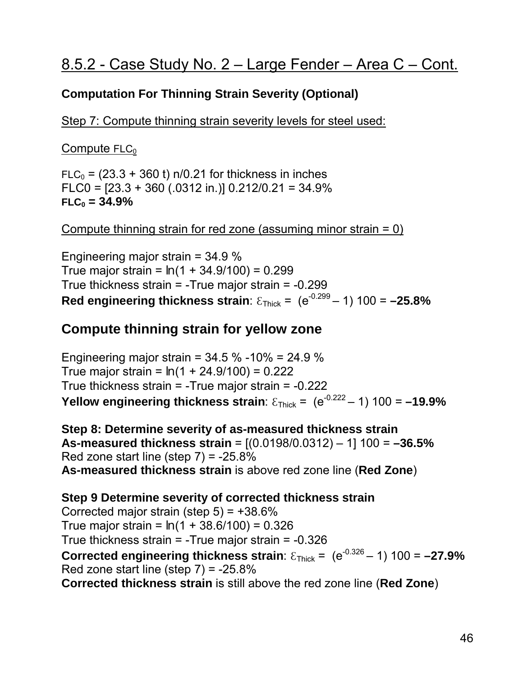## **Computation For Thinning Strain Severity (Optional)**

Step 7: Compute thinning strain severity levels for steel used:

 $Compute$  FLC $_0$ 

 $FLC<sub>0</sub> = (23.3 + 360 t) n/0.21$  for thickness in inches FLC0 =  $[23.3 + 360 (.0312 in.)]$  0.212/0.21 = 34.9%  $FLC<sub>0</sub> = 34.9%$ 

Compute thinning strain for red zone (assuming minor strain = 0)

Engineering major strain = 34.9 % True major strain = *ln* (1 + 34.9/100) = 0.299 True thickness strain = -True major strain = -0.299 **Red engineering thickness strain**:  $\epsilon_{\text{Thick}} = (e^{-0.299} - 1)$  100 = -25.8%

## **Compute thinning strain for yellow zone**

Engineering major strain =  $34.5\%$  -10% =  $24.9\%$ True major strain = *ln* (1 + 24.9/100) = 0.222 True thickness strain = -True major strain = -0.222 **Yellow engineering thickness strain**:  $\epsilon_{\text{Thick}} = (e^{-0.222} - 1)$  100 = -19.9%

**Step 8: Determine severity of as-measured thickness strain As-measured thickness strain** = [(0.0198/0.0312) – 1] 100 = **–36.5%** Red zone start line (step  $7$ ) =  $-25.8\%$ **As-measured thickness strain** is above red zone line (**Red Zone**)

**Step 9 Determine severity of corrected thickness strain**  Corrected major strain (step  $5$ ) =  $+38.6\%$ True major strain = *ln* (1 + 38.6/100) = 0.326 True thickness strain = -True major strain = -0.326

**Corrected engineering thickness strain**:  $\epsilon_{\text{Thick}} = (e^{-0.326} - 1)$  100 = -27.9% Red zone start line (step  $7$ ) =  $-25.8\%$ 

**Corrected thickness strain** is still above the red zone line (**Red Zone**)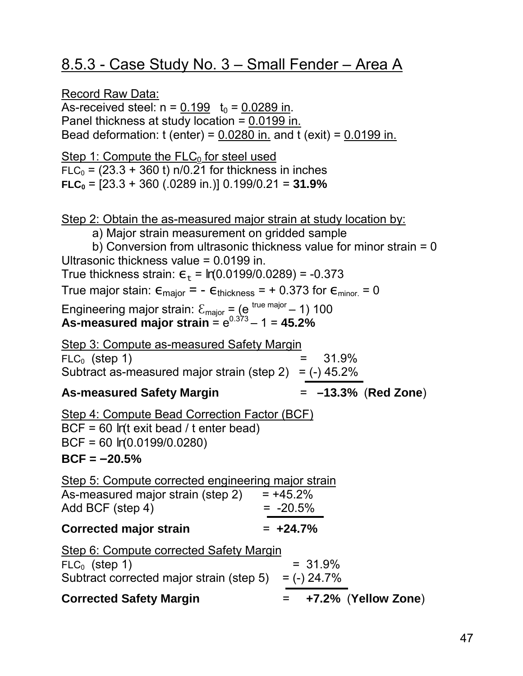# 8.5.3 - Case Study No. 3 – Small Fender – Area A

Record Raw Data: As-received steel:  $n = 0.199$   $t_0 = 0.0289$  in. Panel thickness at study location =  $0.0199$  in. Bead deformation:  $t$  (enter) = 0.0280 in. and  $t$  (exit) = 0.0199 in. Step 1: Compute the  $FLC<sub>0</sub>$  for steel used  $FLC<sub>0</sub> = (23.3 + 360 t)$  n/0.21 for thickness in inches **FLC0** = [23.3 + 360 (.0289 in.)] 0.199/0.21 = **31.9%** Step 2: Obtain the as-measured major strain at study location by: a) Major strain measurement on gridded sample b) Conversion from ultrasonic thickness value for minor strain = 0 Ultrasonic thickness value = 0.0199 in. True thickness strain:  $\varepsilon_t = ln(0.0199/0.0289) = -0.373$ True major stain:  $\epsilon_{\text{major}} = -\epsilon_{\text{thickness}} = +0.373$  for  $\epsilon_{\text{minor}} = 0$ Engineering major strain:  $\mathcal{E}_{\text{major}} = (e^{ \text{ true major}} - 1)$  100 **As-measured major strain** =  $e^{0.373} - 1 = 45.2\%$ Step 3: Compute as-measured Safety Margin  $FLC_0$  (step 1)  $= 31.9\%$ Subtract as-measured major strain (step 2) =  $(-)$  45.2% **As-measured Safety Margin** = **–13.3%** (**Red Zone**) Step 4: Compute Bead Correction Factor (BCF) BCF = 60 *ln*(t exit bead / t enter bead) BCF = 60 *ln*(0.0199/0.0280) **BCF = –20.5%** Step 5: Compute corrected engineering major strain As-measured major strain (step 2)  $= +45.2\%$ Add BCF (step 4)  $= -20.5\%$ **Corrected major strain** = **+24.7%** Step 6: Compute corrected Safety Margin  $FLC_0$  (step 1)  $= 31.9\%$ Subtract corrected major strain (step  $5$ ) = (-) 24.7% **Corrected Safety Margin** = **+7.2%** (**Yellow Zone**)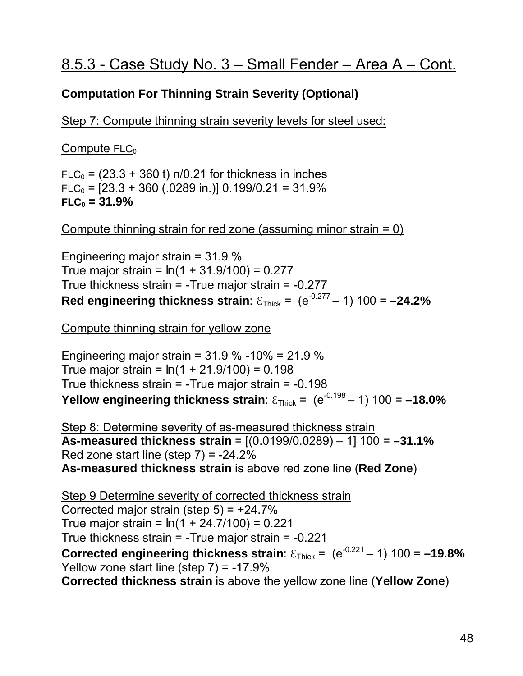## **Computation For Thinning Strain Severity (Optional)**

Step 7: Compute thinning strain severity levels for steel used:

 $Compute$  FLC $_0$ 

 $FLC<sub>0</sub> = (23.3 + 360 t)$  n/0.21 for thickness in inches  $FLC<sub>0</sub> = [23.3 + 360 (.0289 in.)]$  0.199/0.21 = 31.9%  $FLC<sub>0</sub> = 31.9%$ 

Compute thinning strain for red zone (assuming minor strain = 0)

Engineering major strain = 31.9 % True major strain = *ln* (1 + 31.9/100) = 0.277 True thickness strain = -True major strain = -0.277 Red engineering thickness strain:  $\epsilon_{\text{Thick}} = (e^{-0.277} - 1)$  100 = -24.2%

Compute thinning strain for yellow zone

Engineering major strain = 31.9 % -10% = 21.9 % True major strain = *ln* (1 + 21.9/100) = 0.198 True thickness strain = -True major strain = -0.198 **Yellow engineering thickness strain**:  $\epsilon_{\text{Thick}} = (e^{-0.198} - 1) 100 = -18.0\%$ 

Step 8: Determine severity of as-measured thickness strain **As-measured thickness strain** = [(0.0199/0.0289) – 1] 100 = **–31.1%** Red zone start line (step  $7$ ) =  $-24.2\%$ **As-measured thickness strain** is above red zone line (**Red Zone**)

Step 9 Determine severity of corrected thickness strain Corrected major strain (step  $5$ ) =  $+24.7\%$ True major strain = *ln* (1 + 24.7/100) = 0.221 True thickness strain = -True major strain = -0.221 **Corrected engineering thickness strain**:  $\epsilon_{\text{Thick}} = (e^{-0.221} - 1)$  100 = -19.8% Yellow zone start line (step 7) = -17.9% **Corrected thickness strain** is above the yellow zone line (**Yellow Zone**)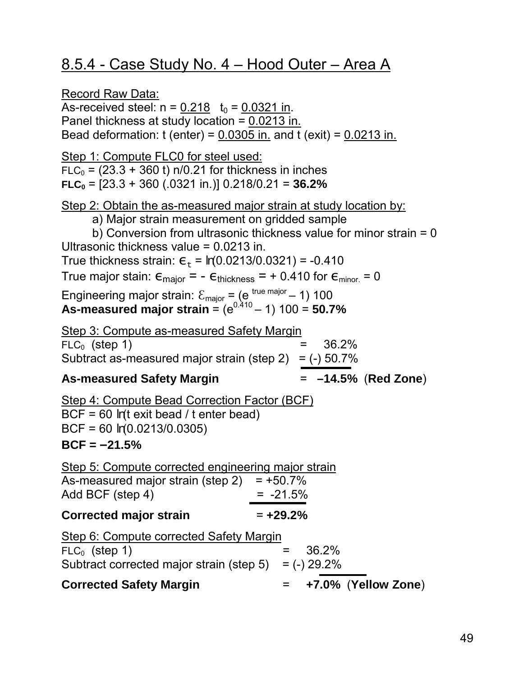# 8.5.4 - Case Study No. 4 – Hood Outer – Area A

Record Raw Data: As-received steel:  $n = 0.218$  t<sub>0</sub> = 0.0321 in. Panel thickness at study location =  $0.0213$  in. Bead deformation:  $t$  (enter) = 0.0305 in. and  $t$  (exit) = 0.0213 in. Step 1: Compute FLC0 for steel used:  $FLC<sub>0</sub> = (23.3 + 360 t)$  n/0.21 for thickness in inches  $FLC<sub>0</sub> = [23.3 + 360 (.0321 in.)]$  0.218/0.21 = **36.2%** Step 2: Obtain the as-measured major strain at study location by: a) Major strain measurement on gridded sample b) Conversion from ultrasonic thickness value for minor strain = 0 Ultrasonic thickness value = 0.0213 in. True thickness strain:  $\varepsilon_{\text{t}} = ln(0.0213/0.0321) = -0.410$ True major stain:  $\epsilon_{\text{major}} = -\epsilon_{\text{thickness}} = +0.410$  for  $\epsilon_{\text{minor}} = 0$ Engineering major strain:  $\mathcal{E}_{\text{major}} = (e^{ \text{ true major}} - 1)$  100 As-measured major strain =  $(e^{0.410} - 1)$  100 = 50.7% Step 3: Compute as-measured Safety Margin  $FLC_0$  (step 1)  $=$  36.2% Subtract as-measured major strain (step 2) =  $(-)$  50.7% **As-measured Safety Margin** = **–14.5%** (**Red Zone**) Step 4: Compute Bead Correction Factor (BCF) BCF = 60 *ln*(t exit bead / t enter bead) BCF = 60 *ln*(0.0213/0.0305) **BCF = –21.5%** Step 5: Compute corrected engineering major strain As-measured major strain (step  $2$ ) = +50.7% Add BCF (step 4)  $= -21.5\%$ **Corrected major strain** = **+29.2%** Step 6: Compute corrected Safety Margin  $FLC_0$  (step 1)  $= 36.2\%$ Subtract corrected major strain (step  $5$ ) = (-) 29.2% **Corrected Safety Margin** = **+7.0%** (**Yellow Zone**)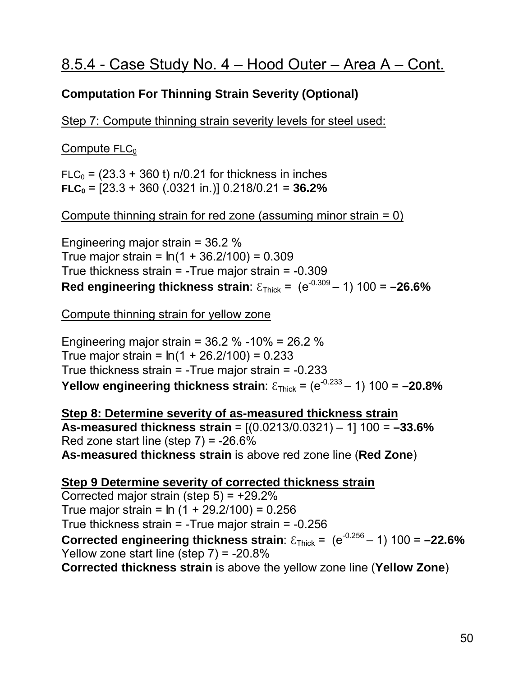## **Computation For Thinning Strain Severity (Optional)**

Step 7: Compute thinning strain severity levels for steel used:

 $Compute$  FLC $_0$ 

 $FLC<sub>0</sub> = (23.3 + 360 t)$  n/0.21 for thickness in inches **FLC0** = [23.3 + 360 (.0321 in.)] 0.218/0.21 = **36.2%**

Compute thinning strain for red zone (assuming minor strain = 0)

Engineering major strain = 36.2 % True major strain = *ln* (1 + 36.2/100) = 0.309 True thickness strain = -True major strain = -0.309 **Red engineering thickness strain**:  $\epsilon_{\text{Thick}} = (e^{-0.309} - 1)$  100 = -26.6%

Compute thinning strain for yellow zone

Engineering major strain = 36.2 % -10% = 26.2 % True major strain = *ln* (1 + 26.2/100) = 0.233 True thickness strain = -True major strain = -0.233 **Yellow engineering thickness strain:**  $\epsilon_{\text{Thick}} = (e^{-0.233} - 1)$  100 = -20.8%

**Step 8: Determine severity of as-measured thickness strain As-measured thickness strain** = [(0.0213/0.0321) – 1] 100 = **–33.6%** Red zone start line (step  $7$ ) =  $-26.6\%$ **As-measured thickness strain** is above red zone line (**Red Zone**)

**Step 9 Determine severity of corrected thickness strain** Corrected major strain (step  $5$ ) =  $+29.2\%$ True major strain = *ln* (1 + 29.2/100) = 0.256 True thickness strain = -True major strain = -0.256 **Corrected engineering thickness strain**:  $\epsilon_{\text{Thick}} = (e^{-0.256} - 1)$  100 = -22.6% Yellow zone start line (step 7) = -20.8% **Corrected thickness strain** is above the yellow zone line (**Yellow Zone**)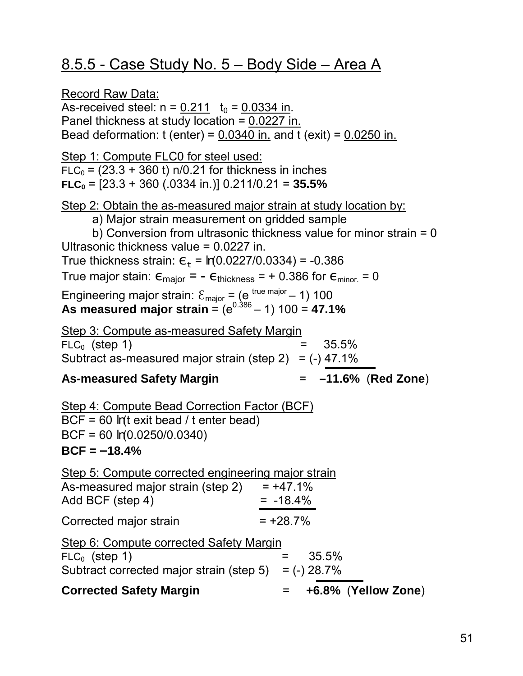# 8.5.5 - Case Study No. 5 – Body Side – Area A

Record Raw Data: As-received steel:  $n = 0.211$   $t_0 = 0.0334$  in. Panel thickness at study location =  $0.0227$  in. Bead deformation:  $t$  (enter) = 0.0340 in. and  $t$  (exit) = 0.0250 in. Step 1: Compute FLC0 for steel used:  $FLC<sub>0</sub> = (23.3 + 360 t)$  n/0.21 for thickness in inches  $FLC<sub>0</sub> = [23.3 + 360 (.0334 in.)]$  0.211/0.21 = **35.5%** Step 2: Obtain the as-measured major strain at study location by: a) Major strain measurement on gridded sample b) Conversion from ultrasonic thickness value for minor strain = 0 Ultrasonic thickness value = 0.0227 in. True thickness strain:  $\varepsilon_{\text{t}} = ln(0.0227/0.0334) = -0.386$ True major stain:  $\epsilon_{\text{major}} = -\epsilon_{\text{thickness}} = +0.386$  for  $\epsilon_{\text{minor}} = 0$ Engineering major strain:  $\mathcal{E}_{\text{major}} = (e^{ \text{ true major}} - 1)$  100 As measured major strain =  $(e^{0.386} - 1)$  100 = **47.1%** Step 3: Compute as-measured Safety Margin  $FLC_0$  (step 1)  $=$  35.5% Subtract as-measured major strain (step 2) =  $(-)$  47.1% **As-measured Safety Margin** = **–11.6%** (**Red Zone**) Step 4: Compute Bead Correction Factor (BCF) BCF = 60 *ln*(t exit bead / t enter bead) BCF = 60 *ln*(0.0250/0.0340) **BCF = –18.4%** Step 5: Compute corrected engineering major strain As-measured major strain (step  $2$ ) = +47.1%  $Add BCF (step 4) = -18.4%$ Corrected major strain  $= +28.7\%$ Step 6: Compute corrected Safety Margin  $FLC_0$  (step 1)  $=$  35.5% Subtract corrected major strain (step  $5$ ) = (-) 28.7% **Corrected Safety Margin** = **+6.8%** (**Yellow Zone**)